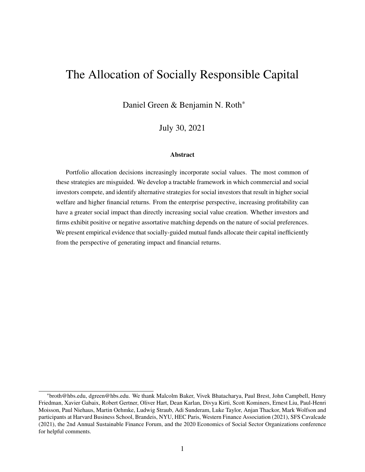# The Allocation of Socially Responsible Capital

Daniel Green & Benjamin N. Roth\*

July 30, 2021

#### Abstract

Portfolio allocation decisions increasingly incorporate social values. The most common of these strategies are misguided. We develop a tractable framework in which commercial and social investors compete, and identify alternative strategies for social investors that result in higher social welfare and higher financial returns. From the enterprise perspective, increasing profitability can have a greater social impact than directly increasing social value creation. Whether investors and firms exhibit positive or negative assortative matching depends on the nature of social preferences. We present empirical evidence that socially-guided mutual funds allocate their capital inefficiently from the perspective of generating impact and financial returns.

<sup>\*</sup>broth@hbs.edu, dgreen@hbs.edu. We thank Malcolm Baker, Vivek Bhatacharya, Paul Brest, John Campbell, Henry Friedman, Xavier Gabaix, Robert Gertner, Oliver Hart, Dean Karlan, Divya Kirti, Scott Kominers, Ernest Liu, Paul-Henri Moisson, Paul Niehaus, Martin Oehmke, Ludwig Straub, Adi Sunderam, Luke Taylor, Anjan Thackor, Mark Wolfson and participants at Harvard Business School, Brandeis, NYU, HEC Paris, Western Finance Association (2021), SFS Cavalcade (2021), the 2nd Annual Sustainable Finance Forum, and the 2020 Economics of Social Sector Organizations conference for helpful comments.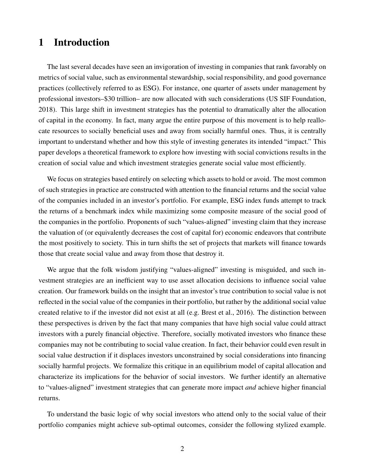# 1 Introduction

The last several decades have seen an invigoration of investing in companies that rank favorably on metrics of social value, such as environmental stewardship, social responsibility, and good governance practices (collectively referred to as ESG). For instance, one quarter of assets under management by professional investors–\$30 trillion– are now allocated with such considerations [\(US SIF Foundation,](#page-39-0) [2018\)](#page-39-0). This large shift in investment strategies has the potential to dramatically alter the allocation of capital in the economy. In fact, many argue the entire purpose of this movement is to help reallocate resources to socially beneficial uses and away from socially harmful ones. Thus, it is centrally important to understand whether and how this style of investing generates its intended "impact." This paper develops a theoretical framework to explore how investing with social convictions results in the creation of social value and which investment strategies generate social value most efficiently.

We focus on strategies based entirely on selecting which assets to hold or avoid. The most common of such strategies in practice are constructed with attention to the financial returns and the social value of the companies included in an investor's portfolio. For example, ESG index funds attempt to track the returns of a benchmark index while maximizing some composite measure of the social good of the companies in the portfolio. Proponents of such "values-aligned" investing claim that they increase the valuation of (or equivalently decreases the cost of capital for) economic endeavors that contribute the most positively to society. This in turn shifts the set of projects that markets will finance towards those that create social value and away from those that destroy it.

We argue that the folk wisdom justifying "values-aligned" investing is misguided, and such investment strategies are an inefficient way to use asset allocation decisions to influence social value creation. Our framework builds on the insight that an investor's true contribution to social value is not reflected in the social value of the companies in their portfolio, but rather by the additional social value created relative to if the investor did not exist at all (e.g. [Brest et al., 2016\)](#page-36-0). The distinction between these perspectives is driven by the fact that many companies that have high social value could attract investors with a purely financial objective. Therefore, socially motivated investors who finance these companies may not be contributing to social value creation. In fact, their behavior could even result in social value destruction if it displaces investors unconstrained by social considerations into financing socially harmful projects. We formalize this critique in an equilibrium model of capital allocation and characterize its implications for the behavior of social investors. We further identify an alternative to "values-aligned" investment strategies that can generate more impact *and* achieve higher financial returns.

To understand the basic logic of why social investors who attend only to the social value of their portfolio companies might achieve sub-optimal outcomes, consider the following stylized example.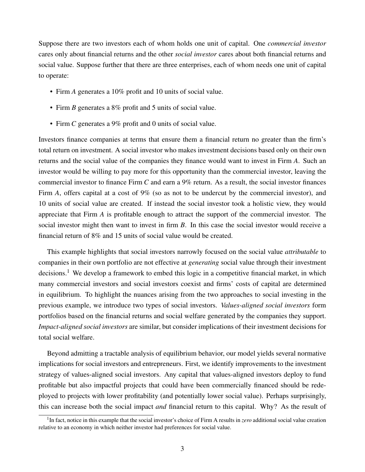Suppose there are two investors each of whom holds one unit of capital. One *commercial investor* cares only about financial returns and the other *social investor* cares about both financial returns and social value. Suppose further that there are three enterprises, each of whom needs one unit of capital to operate:

- Firm *A* generates a 10% profit and 10 units of social value.
- Firm *B* generates a 8% profit and 5 units of social value.
- Firm *C* generates a 9% profit and 0 units of social value.

Investors finance companies at terms that ensure them a financial return no greater than the firm's total return on investment. A social investor who makes investment decisions based only on their own returns and the social value of the companies they finance would want to invest in Firm *A*. Such an investor would be willing to pay more for this opportunity than the commercial investor, leaving the commercial investor to finance Firm *C* and earn a 9% return. As a result, the social investor finances Firm *A*, offers capital at a cost of 9% (so as not to be undercut by the commercial investor), and 10 units of social value are created. If instead the social investor took a holistic view, they would appreciate that Firm *A* is profitable enough to attract the support of the commercial investor. The social investor might then want to invest in firm *B*. In this case the social investor would receive a financial return of 8% and 15 units of social value would be created.

This example highlights that social investors narrowly focused on the social value *attributable* to companies in their own portfolio are not effective at *generating* social value through their investment decisions.<sup>[1](#page-2-0)</sup> We develop a framework to embed this logic in a competitive financial market, in which many commercial investors and social investors coexist and firms' costs of capital are determined in equilibrium. To highlight the nuances arising from the two approaches to social investing in the previous example, we introduce two types of social investors. *Values-aligned social investors* form portfolios based on the financial returns and social welfare generated by the companies they support. *Impact-aligned social investors* are similar, but consider implications of their investment decisions for total social welfare.

Beyond admitting a tractable analysis of equilibrium behavior, our model yields several normative implications for social investors and entrepreneurs. First, we identify improvements to the investment strategy of values-aligned social investors. Any capital that values-aligned investors deploy to fund profitable but also impactful projects that could have been commercially financed should be redeployed to projects with lower profitability (and potentially lower social value). Perhaps surprisingly, this can increase both the social impact *and* financial return to this capital. Why? As the result of

<span id="page-2-0"></span><sup>&</sup>lt;sup>1</sup>In fact, notice in this example that the social investor's choice of Firm A results in *zero* additional social value creation relative to an economy in which neither investor had preferences for social value.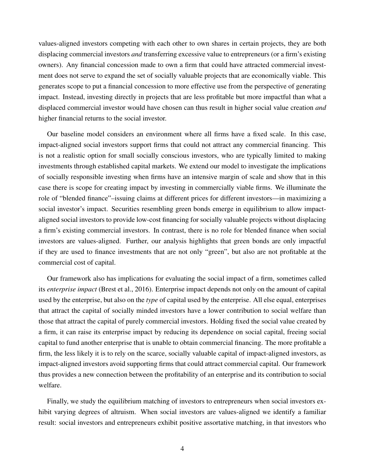values-aligned investors competing with each other to own shares in certain projects, they are both displacing commercial investors *and* transferring excessive value to entrepreneurs (or a firm's existing owners). Any financial concession made to own a firm that could have attracted commercial investment does not serve to expand the set of socially valuable projects that are economically viable. This generates scope to put a financial concession to more effective use from the perspective of generating impact. Instead, investing directly in projects that are less profitable but more impactful than what a displaced commercial investor would have chosen can thus result in higher social value creation *and* higher financial returns to the social investor.

Our baseline model considers an environment where all firms have a fixed scale. In this case, impact-aligned social investors support firms that could not attract any commercial financing. This is not a realistic option for small socially conscious investors, who are typically limited to making investments through established capital markets. We extend our model to investigate the implications of socially responsible investing when firms have an intensive margin of scale and show that in this case there is scope for creating impact by investing in commercially viable firms. We illuminate the role of "blended finance"–issuing claims at different prices for different investors—in maximizing a social investor's impact. Securities resembling green bonds emerge in equilibrium to allow impactaligned social investors to provide low-cost financing for socially valuable projects without displacing a firm's existing commercial investors. In contrast, there is no role for blended finance when social investors are values-aligned. Further, our analysis highlights that green bonds are only impactful if they are used to finance investments that are not only "green", but also are not profitable at the commercial cost of capital.

Our framework also has implications for evaluating the social impact of a firm, sometimes called its *enterprise impact* [\(Brest et al., 2016\)](#page-36-0). Enterprise impact depends not only on the amount of capital used by the enterprise, but also on the *type* of capital used by the enterprise. All else equal, enterprises that attract the capital of socially minded investors have a lower contribution to social welfare than those that attract the capital of purely commercial investors. Holding fixed the social value created by a firm, it can raise its enterprise impact by reducing its dependence on social capital, freeing social capital to fund another enterprise that is unable to obtain commercial financing. The more profitable a firm, the less likely it is to rely on the scarce, socially valuable capital of impact-aligned investors, as impact-aligned investors avoid supporting firms that could attract commercial capital. Our framework thus provides a new connection between the profitability of an enterprise and its contribution to social welfare.

Finally, we study the equilibrium matching of investors to entrepreneurs when social investors exhibit varying degrees of altruism. When social investors are values-aligned we identify a familiar result: social investors and entrepreneurs exhibit positive assortative matching, in that investors who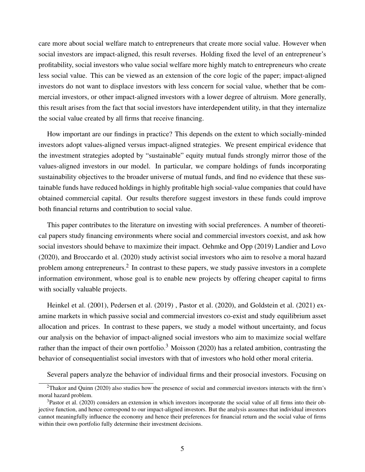care more about social welfare match to entrepreneurs that create more social value. However when social investors are impact-aligned, this result reverses. Holding fixed the level of an entrepreneur's profitability, social investors who value social welfare more highly match to entrepreneurs who create less social value. This can be viewed as an extension of the core logic of the paper; impact-aligned investors do not want to displace investors with less concern for social value, whether that be commercial investors, or other impact-aligned investors with a lower degree of altruism. More generally, this result arises from the fact that social investors have interdependent utility, in that they internalize the social value created by all firms that receive financing.

How important are our findings in practice? This depends on the extent to which socially-minded investors adopt values-aligned versus impact-aligned strategies. We present empirical evidence that the investment strategies adopted by "sustainable" equity mutual funds strongly mirror those of the values-aligned investors in our model. In particular, we compare holdings of funds incorporating sustainability objectives to the broader universe of mutual funds, and find no evidence that these sustainable funds have reduced holdings in highly profitable high social-value companies that could have obtained commercial capital. Our results therefore suggest investors in these funds could improve both financial returns and contribution to social value.

This paper contributes to the literature on investing with social preferences. A number of theoretical papers study financing environments where social and commercial investors coexist, and ask how social investors should behave to maximize their impact. [Oehmke and Opp](#page-39-1) [\(2019\)](#page-39-1) [Landier and Lovo](#page-38-0) [\(2020\)](#page-38-0), and [Broccardo et al.](#page-36-1) [\(2020\)](#page-36-1) study activist social investors who aim to resolve a moral hazard problem among entrepreneurs.<sup>[2](#page-4-0)</sup> In contrast to these papers, we study passive investors in a complete information environment, whose goal is to enable new projects by offering cheaper capital to firms with socially valuable projects.

[Heinkel et al.](#page-38-1) [\(2001\)](#page-38-1), [Pedersen et al.](#page-39-2) [\(2019\)](#page-39-2) , [Pastor et al.](#page-39-3) [\(2020\)](#page-39-3), and [Goldstein et al.](#page-37-0) [\(2021\)](#page-37-0) examine markets in which passive social and commercial investors co-exist and study equilibrium asset allocation and prices. In contrast to these papers, we study a model without uncertainty, and focus our analysis on the behavior of impact-aligned social investors who aim to maximize social welfare rather than the impact of their own portfolio.<sup>[3](#page-4-1)</sup> [Moisson](#page-39-4) [\(2020\)](#page-39-4) has a related ambition, contrasting the behavior of consequentialist social investors with that of investors who hold other moral criteria.

Several papers analyze the behavior of individual firms and their prosocial investors. Focusing on

<span id="page-4-0"></span><sup>2</sup>[Thakor and Quinn](#page-39-5) [\(2020\)](#page-39-5) also studies how the presence of social and commercial investors interacts with the firm's moral hazard problem.

<span id="page-4-1"></span><sup>&</sup>lt;sup>3</sup>[Pastor et al.](#page-39-3) [\(2020\)](#page-39-3) considers an extension in which investors incorporate the social value of all firms into their objective function, and hence correspond to our impact-aligned investors. But the analysis assumes that individual investors cannot meaningfully influence the economy and hence their preferences for financial return and the social value of firms within their own portfolio fully determine their investment decisions.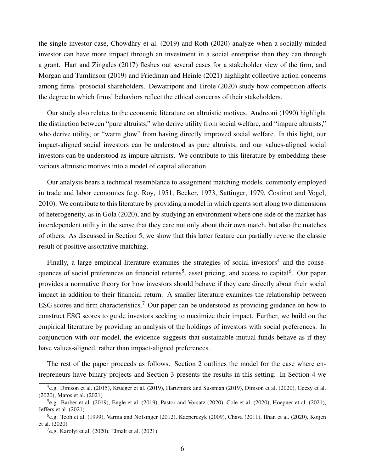the single investor case, [Chowdhry et al.](#page-36-2) [\(2019\)](#page-36-2) and [Roth](#page-39-6) [\(2020\)](#page-39-6) analyze when a socially minded investor can have more impact through an investment in a social enterprise than they can through a grant. [Hart and Zingales](#page-38-2) [\(2017\)](#page-38-2) fleshes out several cases for a stakeholder view of the firm, and [Morgan and Tumlinson](#page-39-7) [\(2019\)](#page-39-7) and [Friedman and Heinle](#page-37-1) [\(2021\)](#page-37-1) highlight collective action concerns among firms' prosocial shareholders. [Dewatripont and Tirole](#page-37-2) [\(2020\)](#page-37-2) study how competition affects the degree to which firms' behaviors reflect the ethical concerns of their stakeholders.

Our study also relates to the economic literature on altruistic motives. [Andreoni](#page-36-3) [\(1990\)](#page-36-3) highlight the distinction between "pure altruists," who derive utility from social welfare, and "impure altruists," who derive utility, or "warm glow" from having directly improved social welfare. In this light, our impact-aligned social investors can be understood as pure altruists, and our values-aligned social investors can be understood as impure altruists. We contribute to this literature by embedding these various altruistic motives into a model of capital allocation.

Our analysis bears a technical resemblance to assignment matching models, commonly employed in trade and labor economics (e.g. [Roy, 1951,](#page-39-8) [Becker, 1973,](#page-36-4) [Sattinger, 1979,](#page-39-9) [Costinot and Vogel,](#page-37-3) [2010\)](#page-37-3). We contribute to this literature by providing a model in which agents sort along two dimensions of heterogeneity, as in [Gola](#page-37-4) [\(2020\)](#page-37-4), and by studying an environment where one side of the market has interdependent utility in the sense that they care not only about their own match, but also the matches of others. As discussed in Section [5,](#page-23-0) we show that this latter feature can partially reverse the classic result of positive assortative matching.

Finally, a large empirical literature examines the strategies of social investors<sup>[4](#page-5-0)</sup> and the conse-quences of social preferences on financial returns<sup>[5](#page-5-1)</sup>, asset pricing, and access to capital<sup>[6](#page-5-2)</sup>. Our paper provides a normative theory for how investors should behave if they care directly about their social impact in addition to their financial return. A smaller literature examines the relationship between ESG scores and firm characteristics.<sup>[7](#page-5-3)</sup> Our paper can be understood as providing guidance on how to construct ESG scores to guide investors seeking to maximize their impact. Further, we build on the empirical literature by providing an analysis of the holdings of investors with social preferences. In conjunction with our model, the evidence suggests that sustainable mutual funds behave as if they have values-aligned, rather than impact-aligned preferences.

The rest of the paper proceeds as follows. Section [2](#page-6-0) outlines the model for the case where entrepreneurs have binary projects and Section [3](#page-8-0) presents the results in this setting. In Section [4](#page-16-0) we

<span id="page-5-0"></span><sup>4</sup> e.g. [Dimson et al.](#page-37-5) [\(2015\)](#page-37-5), [Krueger et al.](#page-38-3) [\(2019\)](#page-38-3), [Hartzmark and Sussman](#page-38-4) [\(2019\)](#page-38-4), [Dimson et al.](#page-37-6) [\(2020\)](#page-37-6), [Geczy et al.](#page-37-7) [\(2020\)](#page-37-7), [Matos et al.](#page-39-10) [\(2021\)](#page-39-10)

<span id="page-5-1"></span> $5e.g.$  [Barber et al.](#page-36-5) [\(2019\)](#page-37-8), [Engle et al.](#page-37-8) (2019), [Pastor and Vorsatz](#page-39-11) [\(2020\)](#page-36-6), [Cole et al.](#page-36-6) (2020), [Hoepner et al.](#page-38-5) [\(2021\)](#page-38-5), [Jeffers et al.](#page-38-6) [\(2021\)](#page-38-6)

<span id="page-5-2"></span><sup>&</sup>lt;sup>6</sup>e.g. [Teoh et al.](#page-39-12) [\(1999\)](#page-39-12), [Varma and Nofsinger](#page-39-13) [\(2012\)](#page-39-13), [Kacperczyk](#page-38-7) [\(2009\)](#page-38-7), [Chava](#page-36-7) [\(2011\)](#page-36-7), [Ilhan et al.](#page-38-8) [\(2020\)](#page-38-8), [Koijen](#page-38-9) [et al.](#page-38-9) [\(2020\)](#page-38-9)

<span id="page-5-3"></span> $7$ e.g. [Karolyi et al.](#page-38-10) [\(2020\)](#page-38-10), [Elmalt et al.](#page-37-9) [\(2021\)](#page-37-9)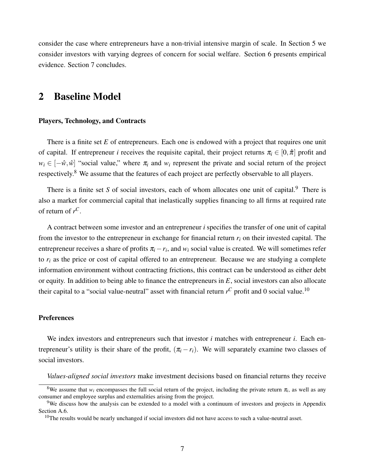consider the case where entrepreneurs have a non-trivial intensive margin of scale. In Section [5](#page-23-0) we consider investors with varying degrees of concern for social welfare. Section [6](#page-26-0) presents empirical evidence. Section [7](#page-33-0) concludes.

# <span id="page-6-0"></span>2 Baseline Model

### Players, Technology, and Contracts

There is a finite set *E* of entrepreneurs. Each one is endowed with a project that requires one unit of capital. If entrepreneur *i* receives the requisite capital, their project returns  $\pi_i \in [0, \hat{\pi}]$  profit and  $w_i \in [-\hat{w}, \hat{w}]$  "social value," where  $\pi_i$  and  $w_i$  represent the private and social return of the project respectively.[8](#page-6-1) We assume that the features of each project are perfectly observable to all players.

There is a finite set *S* of social investors, each of whom allocates one unit of capital.<sup>[9](#page-6-2)</sup> There is also a market for commercial capital that inelastically supplies financing to all firms at required rate of return of  $r^C$ .

A contract between some investor and an entrepreneur *i* specifies the transfer of one unit of capital from the investor to the entrepreneur in exchange for financial return  $r_i$  on their invested capital. The entrepreneur receives a share of profits  $\pi_i - r_i$ , and  $w_i$  social value is created. We will sometimes refer to  $r_i$  as the price or cost of capital offered to an entrepreneur. Because we are studying a complete information environment without contracting frictions, this contract can be understood as either debt or equity. In addition to being able to finance the entrepreneurs in *E*, social investors can also allocate their capital to a "social value-neutral" asset with financial return  $r^C$  profit and 0 social value.<sup>[10](#page-6-3)</sup>

### **Preferences**

We index investors and entrepreneurs such that investor *i* matches with entrepreneur *i*. Each entrepreneur's utility is their share of the profit,  $(\pi_i - r_i)$ . We will separately examine two classes of social investors.

<span id="page-6-1"></span>*Values-aligned social investors* make investment decisions based on financial returns they receive

<sup>&</sup>lt;sup>8</sup>We assume that  $w_i$  encompasses the full social return of the project, including the private return  $\pi_i$ , as well as any consumer and employee surplus and externalities arising from the project.

<span id="page-6-2"></span><sup>&</sup>lt;sup>9</sup>We discuss how the analysis can be extended to a model with a continuum of investors and projects in Appendix Section [A.6.](#page-49-0)

<span id="page-6-3"></span><sup>&</sup>lt;sup>10</sup>The results would be nearly unchanged if social investors did not have access to such a value-neutral asset.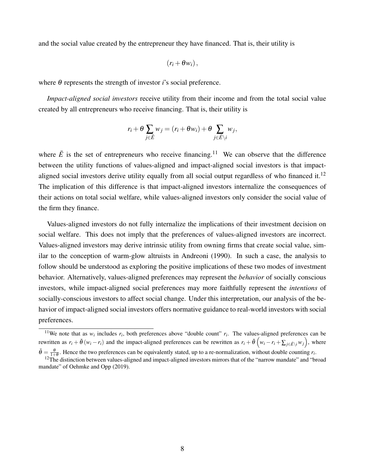and the social value created by the entrepreneur they have financed. That is, their utility is

$$
(r_i+\theta w_i)\,,
$$

where  $\theta$  represents the strength of investor *i*'s social preference.

*Impact-aligned social investors* receive utility from their income and from the total social value created by all entrepreneurs who receive financing. That is, their utility is

$$
r_i + \theta \sum_{j \in \overline{E}} w_j = (r_i + \theta w_i) + \theta \sum_{j \in \overline{E} \setminus i} w_j,
$$

where  $\bar{E}$  is the set of entrepreneurs who receive financing.<sup>[11](#page-7-0)</sup> We can observe that the difference between the utility functions of values-aligned and impact-aligned social investors is that impact-aligned social investors derive utility equally from all social output regardless of who financed it.<sup>[12](#page-7-1)</sup> The implication of this difference is that impact-aligned investors internalize the consequences of their actions on total social welfare, while values-aligned investors only consider the social value of the firm they finance.

Values-aligned investors do not fully internalize the implications of their investment decision on social welfare. This does not imply that the preferences of values-aligned investors are incorrect. Values-aligned investors may derive intrinsic utility from owning firms that create social value, similar to the conception of warm-glow altruists in [Andreoni](#page-36-3) [\(1990\)](#page-36-3). In such a case, the analysis to follow should be understood as exploring the positive implications of these two modes of investment behavior. Alternatively, values-aligned preferences may represent the *behavior* of socially conscious investors, while impact-aligned social preferences may more faithfully represent the *intentions* of socially-conscious investors to affect social change. Under this interpretation, our analysis of the behavior of impact-aligned social investors offers normative guidance to real-world investors with social preferences.

<span id="page-7-0"></span><sup>&</sup>lt;sup>11</sup>We note that as  $w_i$  includes  $r_i$ , both preferences above "double count"  $r_i$ . The values-aligned preferences can be rewritten as  $r_i + \tilde{\theta}(w_i - r_i)$  and the impact-aligned preferences can be rewritten as  $r_i + \tilde{\theta}(w_i - r_i + \sum_{j \in \bar{E} \setminus i} w_j)$ , where  $\tilde{\theta} = \frac{\theta}{1+\theta}$ . Hence the two preferences can be equivalently stated, up to a re-normalization, without double counting  $r_i$ .

<span id="page-7-1"></span> $12$ The distinction between values-aligned and impact-aligned investors mirrors that of the "narrow mandate" and "broad mandate" of [Oehmke and Opp](#page-39-1) [\(2019\)](#page-39-1).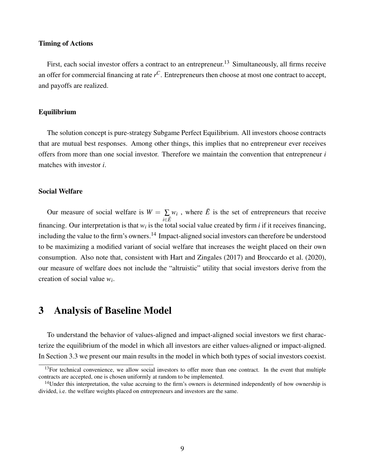### Timing of Actions

First, each social investor offers a contract to an entrepreneur.<sup>[13](#page-8-1)</sup> Simultaneously, all firms receive an offer for commercial financing at rate *r <sup>C</sup>*. Entrepreneurs then choose at most one contract to accept, and payoffs are realized.

### Equilibrium

The solution concept is pure-strategy Subgame Perfect Equilibrium. All investors choose contracts that are mutual best responses. Among other things, this implies that no entrepreneur ever receives offers from more than one social investor. Therefore we maintain the convention that entrepreneur *i* matches with investor *i*.

### Social Welfare

Our measure of social welfare is  $W = \sum$ *i*∈*E*¯  $w_i$ , where  $\bar{E}$  is the set of entrepreneurs that receive financing. Our interpretation is that  $w_i$  is the total social value created by firm  $i$  if it receives financing, including the value to the firm's owners.<sup>[14](#page-8-2)</sup> Impact-aligned social investors can therefore be understood to be maximizing a modified variant of social welfare that increases the weight placed on their own consumption. Also note that, consistent with [Hart and Zingales](#page-38-2) [\(2017\)](#page-38-2) and [Broccardo et al.](#page-36-1) [\(2020\)](#page-36-1), our measure of welfare does not include the "altruistic" utility that social investors derive from the creation of social value *w<sup>i</sup>* .

## <span id="page-8-0"></span>3 Analysis of Baseline Model

To understand the behavior of values-aligned and impact-aligned social investors we first characterize the equilibrium of the model in which all investors are either values-aligned or impact-aligned. In Section [3.3](#page-11-0) we present our main results in the model in which both types of social investors coexist.

<span id="page-8-1"></span><sup>&</sup>lt;sup>13</sup>For technical convenience, we allow social investors to offer more than one contract. In the event that multiple contracts are accepted, one is chosen uniformly at random to be implemented.

<span id="page-8-2"></span> $14$ Under this interpretation, the value accruing to the firm's owners is determined independently of how ownership is divided, i.e. the welfare weights placed on entrepreneurs and investors are the same.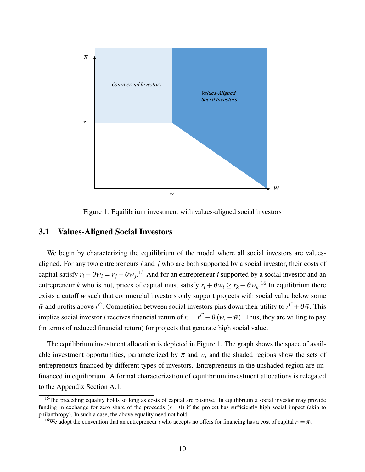

<span id="page-9-2"></span>Figure 1: Equilibrium investment with values-aligned social investors

## <span id="page-9-3"></span>3.1 Values-Aligned Social Investors

We begin by characterizing the equilibrium of the model where all social investors are valuesaligned. For any two entrepreneurs *i* and *j* who are both supported by a social investor, their costs of capital satisfy  $r_i + \theta w_i = r_j + \theta w_j$ .<sup>[15](#page-9-0)</sup> And for an entrepreneur *i* supported by a social investor and an entrepreneur *k* who is not, prices of capital must satisfy  $r_i + \theta w_i \ge r_k + \theta w_k$ .<sup>[16](#page-9-1)</sup> In equilibrium there exists a cutoff  $\bar{w}$  such that commercial investors only support projects with social value below some  $\bar{w}$  and profits above *r*<sup>C</sup>. Competition between social investors pins down their utility to  $r^C + \theta \bar{w}$ . This implies social investor *i* receives financial return of  $r_i = r^C - \theta(w_i - \bar{w})$ . Thus, they are willing to pay (in terms of reduced financial return) for projects that generate high social value.

The equilibrium investment allocation is depicted in Figure [1.](#page-9-2) The graph shows the space of available investment opportunities, parameterized by  $\pi$  and  $w$ , and the shaded regions show the sets of entrepreneurs financed by different types of investors. Entrepreneurs in the unshaded region are unfinanced in equilibrium. A formal characterization of equilibrium investment allocations is relegated to the Appendix Section [A.1.](#page-40-0)

<span id="page-9-0"></span><sup>&</sup>lt;sup>15</sup>The preceding equality holds so long as costs of capital are positive. In equilibrium a social investor may provide funding in exchange for zero share of the proceeds  $(r = 0)$  if the project has sufficiently high social impact (akin to philanthropy). In such a case, the above equality need not hold.

<span id="page-9-1"></span><sup>&</sup>lt;sup>16</sup>We adopt the convention that an entrepreneur *i* who accepts no offers for financing has a cost of capital  $r_i = \pi_i$ .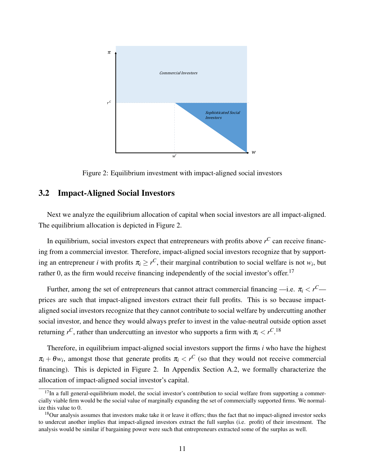

<span id="page-10-0"></span>Figure 2: Equilibrium investment with impact-aligned social investors

## <span id="page-10-3"></span>3.2 Impact-Aligned Social Investors

Next we analyze the equilibrium allocation of capital when social investors are all impact-aligned. The equilibrium allocation is depicted in Figure [2.](#page-10-0)

In equilibrium, social investors expect that entrepreneurs with profits above  $r^C$  can receive financing from a commercial investor. Therefore, impact-aligned social investors recognize that by supporting an entrepreneur *i* with profits  $\pi_i \geq r^C$ , their marginal contribution to social welfare is not  $w_i$ , but rather 0, as the firm would receive financing independently of the social investor's offer.<sup>[17](#page-10-1)</sup>

Further, among the set of entrepreneurs that cannot attract commercial financing —i.e.  $\pi_i < r^C$  prices are such that impact-aligned investors extract their full profits. This is so because impactaligned social investors recognize that they cannot contribute to social welfare by undercutting another social investor, and hence they would always prefer to invest in the value-neutral outside option asset returning  $r^C$ , rather than undercutting an investor who supports a firm with  $\pi_i < r^C$ .<sup>[18](#page-10-2)</sup>

Therefore, in equilibrium impact-aligned social investors support the firms *i* who have the highest  $\pi_i + \theta w_i$ , amongst those that generate profits  $\pi_i < r^C$  (so that they would not receive commercial financing). This is depicted in Figure [2.](#page-10-0) In Appendix Section [A.2,](#page-41-0) we formally characterize the allocation of impact-aligned social investor's capital.

<span id="page-10-1"></span> $17$ In a full general-equilibrium model, the social investor's contribution to social welfare from supporting a commercially viable firm would be the social value of marginally expanding the set of commercially supported firms. We normalize this value to 0.

<span id="page-10-2"></span><sup>&</sup>lt;sup>18</sup>Our analysis assumes that investors make take it or leave it offers; thus the fact that no impact-aligned investor seeks to undercut another implies that impact-aligned investors extract the full surplus (i.e. profit) of their investment. The analysis would be similar if bargaining power were such that entrepreneurs extracted some of the surplus as well.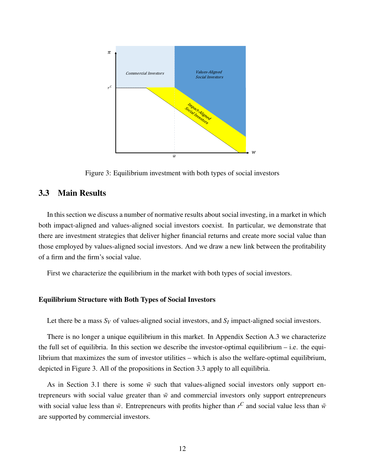

<span id="page-11-1"></span>Figure 3: Equilibrium investment with both types of social investors

## <span id="page-11-0"></span>3.3 Main Results

In this section we discuss a number of normative results about social investing, in a market in which both impact-aligned and values-aligned social investors coexist. In particular, we demonstrate that there are investment strategies that deliver higher financial returns and create more social value than those employed by values-aligned social investors. And we draw a new link between the profitability of a firm and the firm's social value.

First we characterize the equilibrium in the market with both types of social investors.

#### Equilibrium Structure with Both Types of Social Investors

Let there be a mass  $S_V$  of values-aligned social investors, and  $S_I$  impact-aligned social investors.

There is no longer a unique equilibrium in this market. In Appendix Section [A.3](#page-42-0) we characterize the full set of equilibria. In this section we describe the investor-optimal equilibrium – i.e. the equilibrium that maximizes the sum of investor utilities – which is also the welfare-optimal equilibrium, depicted in Figure [3.](#page-11-1) All of the propositions in Section [3.3](#page-11-0) apply to all equilibria.

As in Section [3.1](#page-9-3) there is some  $\bar{w}$  such that values-aligned social investors only support entrepreneurs with social value greater than  $\bar{w}$  and commercial investors only support entrepreneurs with social value less than  $\bar{w}$ . Entrepreneurs with profits higher than  $r^C$  and social value less than  $\bar{w}$ are supported by commercial investors.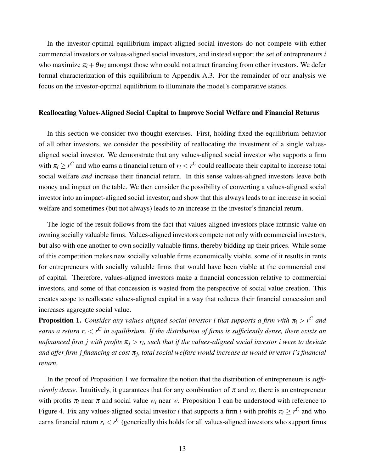In the investor-optimal equilibrium impact-aligned social investors do not compete with either commercial investors or values-aligned social investors, and instead support the set of entrepreneurs *i* who maximize  $\pi_i + \theta w_i$  amongst those who could not attract financing from other investors. We defer formal characterization of this equilibrium to Appendix [A.3.](#page-42-0) For the remainder of our analysis we focus on the investor-optimal equilibrium to illuminate the model's comparative statics.

### Reallocating Values-Aligned Social Capital to Improve Social Welfare and Financial Returns

In this section we consider two thought exercises. First, holding fixed the equilibrium behavior of all other investors, we consider the possibility of reallocating the investment of a single valuesaligned social investor. We demonstrate that any values-aligned social investor who supports a firm with  $\pi_i \geq r^C$  and who earns a financial return of  $r_i < r^C$  could reallocate their capital to increase total social welfare *and* increase their financial return. In this sense values-aligned investors leave both money and impact on the table. We then consider the possibility of converting a values-aligned social investor into an impact-aligned social investor, and show that this always leads to an increase in social welfare and sometimes (but not always) leads to an increase in the investor's financial return.

The logic of the result follows from the fact that values-aligned investors place intrinsic value on owning socially valuable firms. Values-aligned investors compete not only with commercial investors, but also with one another to own socially valuable firms, thereby bidding up their prices. While some of this competition makes new socially valuable firms economically viable, some of it results in rents for entrepreneurs with socially valuable firms that would have been viable at the commercial cost of capital. Therefore, values-aligned investors make a financial concession relative to commercial investors, and some of that concession is wasted from the perspective of social value creation. This creates scope to reallocate values-aligned capital in a way that reduces their financial concession and increases aggregate social value.

<span id="page-12-0"></span>**Proposition 1.** *Consider any values-aligned social investor i that supports a firm with*  $\pi$ <sub>*i*</sub>  $>$  *r*<sup>*C*</sup> and *earns a return r<sup>i</sup>* < *r <sup>C</sup> in equilibrium. If the distribution of firms is sufficiently dense, there exists an unfinanced firm j with profits* π*<sup>j</sup>* > *r<sup>i</sup> , such that if the values-aligned social investor i were to deviate and offer firm j financing at cost* π*<sup>j</sup> , total social welfare would increase as would investor i's financial return.*

In the proof of Proposition [1](#page-12-0) we formalize the notion that the distribution of entrepreneurs is *sufficiently dense.* Intuitively, it guarantees that for any combination of  $\pi$  and  $w$ , there is an entrepreneur with profits  $\pi$ *i* near  $\pi$  and social value  $w_i$  near  $w$ . Proposition [1](#page-12-0) can be understood with reference to Figure [4.](#page-13-0) Fix any values-aligned social investor *i* that supports a firm *i* with profits  $\pi_i \geq r^C$  and who earns financial return  $r_i < r^C$  (generically this holds for all values-aligned investors who support firms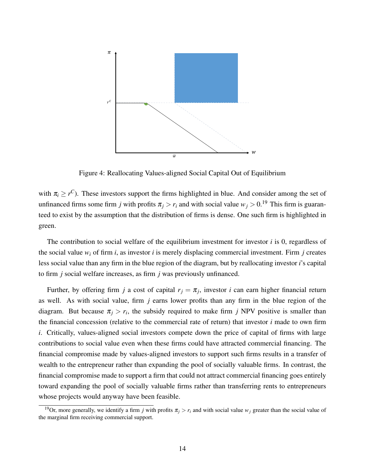

<span id="page-13-0"></span>Figure 4: Reallocating Values-aligned Social Capital Out of Equilibrium

with  $\pi_i \geq r^C$ ). These investors support the firms highlighted in blue. And consider among the set of unfinanced firms some firm *j* with profits  $\pi_j > r_i$  and with social value  $w_j > 0$ .<sup>[19](#page-13-1)</sup> This firm is guaranteed to exist by the assumption that the distribution of firms is dense. One such firm is highlighted in green.

The contribution to social welfare of the equilibrium investment for investor *i* is 0, regardless of the social value  $w_i$  of firm *i*, as investor *i* is merely displacing commercial investment. Firm *j* creates less social value than any firm in the blue region of the diagram, but by reallocating investor *i*'s capital to firm *j* social welfare increases, as firm *j* was previously unfinanced.

Further, by offering firm *j* a cost of capital  $r_j = \pi_j$ , investor *i* can earn higher financial return as well. As with social value, firm *j* earns lower profits than any firm in the blue region of the diagram. But because  $\pi_j > r_i$ , the subsidy required to make firm *j* NPV positive is smaller than the financial concession (relative to the commercial rate of return) that investor *i* made to own firm *i*. Critically, values-aligned social investors compete down the price of capital of firms with large contributions to social value even when these firms could have attracted commercial financing. The financial compromise made by values-aligned investors to support such firms results in a transfer of wealth to the entrepreneur rather than expanding the pool of socially valuable firms. In contrast, the financial compromise made to support a firm that could not attract commercial financing goes entirely toward expanding the pool of socially valuable firms rather than transferring rents to entrepreneurs whose projects would anyway have been feasible.

<span id="page-13-1"></span><sup>&</sup>lt;sup>19</sup>Or, more generally, we identify a firm *j* with profits  $\pi_j > r_i$  and with social value  $w_j$  greater than the social value of the marginal firm receiving commercial support.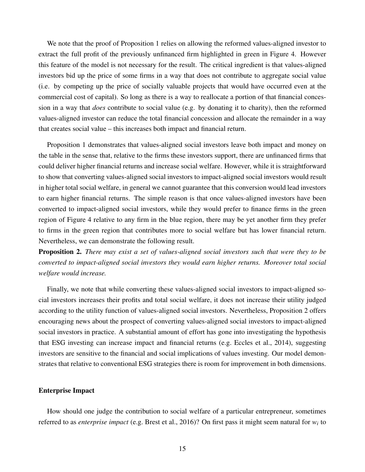We note that the proof of Proposition [1](#page-12-0) relies on allowing the reformed values-aligned investor to extract the full profit of the previously unfinanced firm highlighted in green in Figure [4.](#page-13-0) However this feature of the model is not necessary for the result. The critical ingredient is that values-aligned investors bid up the price of some firms in a way that does not contribute to aggregate social value (i.e. by competing up the price of socially valuable projects that would have occurred even at the commercial cost of capital). So long as there is a way to reallocate a portion of that financial concession in a way that *does* contribute to social value (e.g. by donating it to charity), then the reformed values-aligned investor can reduce the total financial concession and allocate the remainder in a way that creates social value – this increases both impact and financial return.

Proposition [1](#page-12-0) demonstrates that values-aligned social investors leave both impact and money on the table in the sense that, relative to the firms these investors support, there are unfinanced firms that could deliver higher financial returns and increase social welfare. However, while it is straightforward to show that converting values-aligned social investors to impact-aligned social investors would result in higher total social welfare, in general we cannot guarantee that this conversion would lead investors to earn higher financial returns. The simple reason is that once values-aligned investors have been converted to impact-aligned social investors, while they would prefer to finance firms in the green region of Figure [4](#page-13-0) relative to any firm in the blue region, there may be yet another firm they prefer to firms in the green region that contributes more to social welfare but has lower financial return. Nevertheless, we can demonstrate the following result.

<span id="page-14-0"></span>Proposition 2. *There may exist a set of values-aligned social investors such that were they to be converted to impact-aligned social investors they would earn higher returns. Moreover total social welfare would increase.*

Finally, we note that while converting these values-aligned social investors to impact-aligned social investors increases their profits and total social welfare, it does not increase their utility judged according to the utility function of values-aligned social investors. Nevertheless, Proposition [2](#page-14-0) offers encouraging news about the prospect of converting values-aligned social investors to impact-aligned social investors in practice. A substantial amount of effort has gone into investigating the hypothesis that ESG investing can increase impact and financial returns (e.g. [Eccles et al., 2014\)](#page-37-10), suggesting investors are sensitive to the financial and social implications of values investing. Our model demonstrates that relative to conventional ESG strategies there is room for improvement in both dimensions.

### Enterprise Impact

How should one judge the contribution to social welfare of a particular entrepreneur, sometimes referred to as *enterprise impact* (e.g. [Brest et al., 2016\)](#page-36-0)? On first pass it might seem natural for *w<sup>i</sup>* to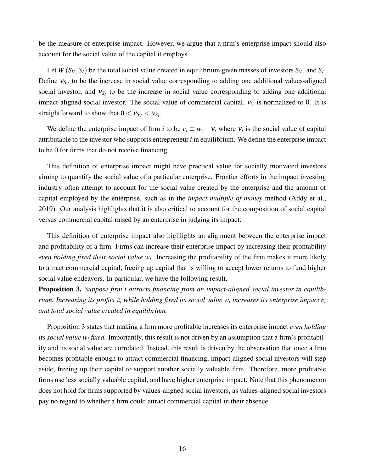be the measure of enterprise impact. However, we argue that a firm's enterprise impact should also account for the social value of the capital it employs.

Let  $W(S_V, S_I)$  be the total social value created in equilibrium given masses of investors  $S_V$ , and  $S_I$ . Define  $v_{S_V}$  to be the increase in social value corresponding to adding one additional values-aligned social investor, and  $v_{S_I}$  to be the increase in social value corresponding to adding one additional impact-aligned social investor. The social value of commercial capital,  $v_C$  is normalized to 0. It is straightforward to show that  $0 < v_{S_V} < v_{S_I}$ .

We define the enterprise impact of firm *i* to be  $e_i \equiv w_i - v_i$  where  $v_i$  is the social value of capital attributable to the investor who supports entrepreneur *i* in equilibrium. We define the enterprise impact to be 0 for firms that do not receive financing.

This definition of enterprise impact might have practical value for socially motivated investors aiming to quantify the social value of a particular enterprise. Frontier efforts in the impact investing industry often attempt to account for the social value created by the enterprise and the amount of capital employed by the enterprise, such as in the *impact multiple of money* method [\(Addy et al.,](#page-36-8) [2019\)](#page-36-8). Our analysis highlights that it is also critical to account for the composition of social capital versus commercial capital raised by an enterprise in judging its impact.

This definition of enterprise impact also highlights an alignment between the enterprise impact and profitability of a firm. Firms can increase their enterprise impact by increasing their profitability *even holding fixed their social value w<sup>i</sup> .* Increasing the profitability of the firm makes it more likely to attract commercial capital, freeing up capital that is willing to accept lower returns to fund higher social value endeavors. In particular, we have the following result.

<span id="page-15-0"></span>Proposition 3. *Suppose firm i attracts financing from an impact-aligned social investor in equilibrium. Increasing its profits* π*<sup>i</sup> while holding fixed its social value w<sup>i</sup> increases its enterprise impact e<sup>i</sup> and total social value created in equilibrium.*

Proposition [3](#page-15-0) states that making a firm more profitable increases its enterprise impact *even holding its social value w<sup>i</sup> fixed.* Importantly, this result is not driven by an assumption that a firm's profitability and its social value are correlated. Instead, this result is driven by the observation that once a firm becomes profitable enough to attract commercial financing, impact-aligned social investors will step aside, freeing up their capital to support another socially valuable firm. Therefore, more profitable firms use less socially valuable capital, and have higher enterprise impact. Note that this phenomenon does not hold for firms supported by values-aligned social investors, as values-aligned social investors pay no regard to whether a firm could attract commercial capital in their absence.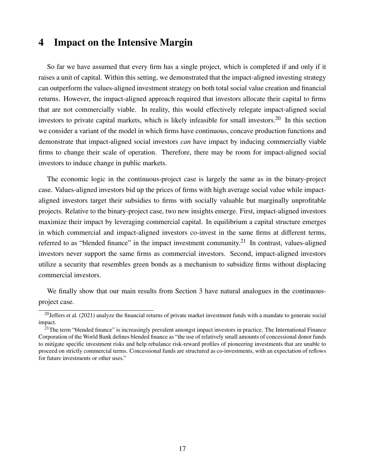## <span id="page-16-0"></span>4 Impact on the Intensive Margin

So far we have assumed that every firm has a single project, which is completed if and only if it raises a unit of capital. Within this setting, we demonstrated that the impact-aligned investing strategy can outperform the values-aligned investment strategy on both total social value creation and financial returns. However, the impact-aligned approach required that investors allocate their capital to firms that are not commercially viable. In reality, this would effectively relegate impact-aligned social investors to private capital markets, which is likely infeasible for small investors.[20](#page-16-1) In this section we consider a variant of the model in which firms have continuous, concave production functions and demonstrate that impact-aligned social investors *can* have impact by inducing commercially viable firms to change their scale of operation. Therefore, there may be room for impact-aligned social investors to induce change in public markets.

The economic logic in the continuous-project case is largely the same as in the binary-project case. Values-aligned investors bid up the prices of firms with high average social value while impactaligned investors target their subsidies to firms with socially valuable but marginally unprofitable projects. Relative to the binary-project case, two new insights emerge. First, impact-aligned investors maximize their impact by leveraging commercial capital. In equilibrium a capital structure emerges in which commercial and impact-aligned investors co-invest in the same firms at different terms, referred to as "blended finance" in the impact investment community.<sup>[21](#page-16-2)</sup> In contrast, values-aligned investors never support the same firms as commercial investors. Second, impact-aligned investors utilize a security that resembles green bonds as a mechanism to subsidize firms without displacing commercial investors.

We finally show that our main results from Section [3](#page-8-0) have natural analogues in the continuousproject case.

<span id="page-16-1"></span> $20$ [Jeffers et al.](#page-38-6) [\(2021\)](#page-38-6) analyze the financial returns of private market investment funds with a mandate to generate social impact.

<span id="page-16-2"></span> $21$ The term "blended finance" is increasingly prevalent amongst impact investors in practice. The International Finance Corporation of the World Bank defines blended finance as "the use of relatively small amounts of concessional donor funds to mitigate specific investment risks and help rebalance risk-reward profiles of pioneering investments that are unable to proceed on strictly commercial terms. Concessional funds are structured as co-investments, with an expectation of reflows for future investments or other uses."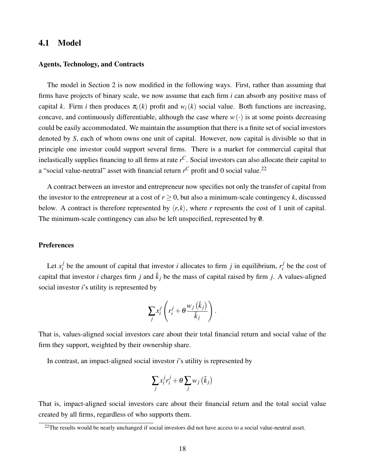## 4.1 Model

#### Agents, Technology, and Contracts

The model in Section [2](#page-6-0) is now modified in the following ways. First, rather than assuming that firms have projects of binary scale, we now assume that each firm *i* can absorb any positive mass of capital *k*. Firm *i* then produces  $\pi_i(k)$  profit and  $w_i(k)$  social value. Both functions are increasing, concave, and continuously differentiable, although the case where  $w(\cdot)$  is at some points decreasing could be easily accommodated. We maintain the assumption that there is a finite set of social investors denoted by *S*, each of whom owns one unit of capital. However, now capital is divisible so that in principle one investor could support several firms. There is a market for commercial capital that inelastically supplies financing to all firms at rate *r <sup>C</sup>*. Social investors can also allocate their capital to a "social value-neutral" asset with financial return  $r^C$  profit and 0 social value.<sup>[22](#page-17-0)</sup>

A contract between an investor and entrepreneur now specifies not only the transfer of capital from the investor to the entrepreneur at a cost of  $r > 0$ , but also a minimum-scale contingency k, discussed below. A contract is therefore represented by  $\langle r, k \rangle$ , where *r* represents the cost of 1 unit of capital. The minimum-scale contingency can also be left unspecified, represented by 0.

### **Preferences**

Let  $x_i^j$ *i*be the amount of capital that investor *i* allocates to firm *j* in equilibrium,  $r_i^j$  $\frac{J}{i}$  be the cost of capital that investor *i* charges firm *j* and  $\bar{k}_j$  be the mass of capital raised by firm *j*. A values-aligned social investor *i*'s utility is represented by

$$
\sum_j x_i^j \left( r_i^j + \theta \frac{w_j\left(\bar{k}_j\right)}{\bar{k}_j} \right).
$$

That is, values-aligned social investors care about their total financial return and social value of the firm they support, weighted by their ownership share.

In contrast, an impact-aligned social investor *i*'s utility is represented by

$$
\sum_j x_i^j r_i^j + \theta \sum_j w_j (\bar{k}_j)
$$

That is, impact-aligned social investors care about their financial return and the total social value created by all firms, regardless of who supports them.

<span id="page-17-0"></span> $22$ The results would be nearly unchanged if social investors did not have access to a social value-neutral asset.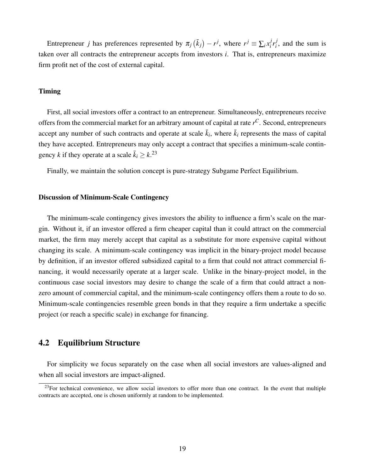Entrepreneur *j* has preferences represented by  $\pi_j(\bar{k}_j) - r^j$ , where  $r^j \equiv \sum_i x_i^j$  $i^j r_i^j$  $i<sub>i</sub>$ , and the sum is taken over all contracts the entrepreneur accepts from investors *i*. That is, entrepreneurs maximize firm profit net of the cost of external capital.

#### Timing

First, all social investors offer a contract to an entrepreneur. Simultaneously, entrepreneurs receive offers from the commercial market for an arbitrary amount of capital at rate *r <sup>C</sup>*. Second, entrepreneurs accept any number of such contracts and operate at scale  $\bar{k}_i$ , where  $\bar{k}_i$  represents the mass of capital they have accepted. Entrepreneurs may only accept a contract that specifies a minimum-scale contingency *k* if they operate at a scale  $\bar{k}_i \geq k$ <sup>[23](#page-18-0)</sup>

Finally, we maintain the solution concept is pure-strategy Subgame Perfect Equilibrium.

### Discussion of Minimum-Scale Contingency

The minimum-scale contingency gives investors the ability to influence a firm's scale on the margin. Without it, if an investor offered a firm cheaper capital than it could attract on the commercial market, the firm may merely accept that capital as a substitute for more expensive capital without changing its scale. A minimum-scale contingency was implicit in the binary-project model because by definition, if an investor offered subsidized capital to a firm that could not attract commercial financing, it would necessarily operate at a larger scale. Unlike in the binary-project model, in the continuous case social investors may desire to change the scale of a firm that could attract a nonzero amount of commercial capital, and the minimum-scale contingency offers them a route to do so. Minimum-scale contingencies resemble green bonds in that they require a firm undertake a specific project (or reach a specific scale) in exchange for financing.

## 4.2 Equilibrium Structure

For simplicity we focus separately on the case when all social investors are values-aligned and when all social investors are impact-aligned.

<span id="page-18-0"></span> $^{23}$ For technical convenience, we allow social investors to offer more than one contract. In the event that multiple contracts are accepted, one is chosen uniformly at random to be implemented.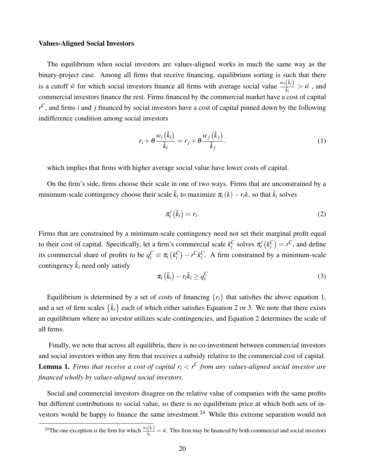#### Values-Aligned Social Investors

The equilibrium when social investors are values-aligned works in much the same way as the binary-project case. Among all firms that receive financing, equilibrium sorting is such that there is a cutoff  $\bar{w}$  for which social investors finance all firms with average social value  $\frac{w_i(\bar{k}_i)}{\bar{k}_i}$  $\frac{\sqrt{\kappa_l}}{\bar{k}_i} > \bar{w}$ , and commercial investors finance the rest. Firms financed by the commercial market have a cost of capital *r <sup>C</sup>*, and firms *i* and *j* financed by social investors have a cost of capital pinned down by the following indifference condition among social investors

<span id="page-19-0"></span>
$$
r_i + \theta \frac{w_i(\bar{k}_i)}{\bar{k}_i} = r_j + \theta \frac{w_j(\bar{k}_j)}{\bar{k}_j}.
$$
 (1)

which implies that firms with higher average social value have lower costs of capital.

On the firm's side, firms choose their scale in one of two ways. Firms that are unconstrained by a minimum-scale contingency choose their scale  $\bar{k}_i$  to maximize  $\pi_i(k) - r_i k$ , so that  $\bar{k}_i$  solves

<span id="page-19-1"></span>
$$
\pi'_i\left(\bar{k}_i\right) = r_i. \tag{2}
$$

Firms that are constrained by a minimum-scale contingency need not set their marginal profit equal to their cost of capital. Specifically, let a firm's commercial scale  $k_i^C$  solves  $\pi'_i(k_i^C) = r^C$ , and define its commercial share of profits to be  $q_i^C \equiv \pi_i (k_i^C) - r^C k_i^C$ . A firm constrained by a minimum-scale contingency  $\bar{k}_i$  need only satisfy

<span id="page-19-2"></span>
$$
\pi_i\left(\bar{k}_i\right) - r_i\bar{k}_i \ge q_i^C \tag{3}
$$

Equilibrium is determined by a set of costs of financing  $\{r_i\}$  that satisfies the above equation [1,](#page-19-0) and a set of firm scales  $\{\bar{k}_i\}$  each of which either satisfies Equation [2](#page-19-1) or [3.](#page-19-2) We note that there exists an equilibrium where no investor utilizes scale-contingencies, and Equation [2](#page-19-1) determines the scale of all firms.

<span id="page-19-4"></span>Finally, we note that across all equilibria, there is no co-investment between commercial investors and social investors within any firm that receives a subsidy relative to the commercial cost of capital. **Lemma 1.** *Firms that receive a cost of capital*  $r_i < r^C$  *from any values-aligned social investor are financed wholly by values-aligned social investors.*

Social and commercial investors disagree on the relative value of companies with the same profits but different contributions to social value, so there is no equilibrium price at which both sets of in-vestors would be happy to finance the same investment.<sup>[24](#page-19-3)</sup> While this extreme separation would not

<span id="page-19-3"></span><sup>&</sup>lt;sup>24</sup>The one exception is the firm for which  $\frac{w_i(\bar{k}_i)}{\bar{k}_i}$  $\frac{\lambda_i}{\bar{k}_i} = \bar{w}$ . This firm may be financed by both commercial and social investors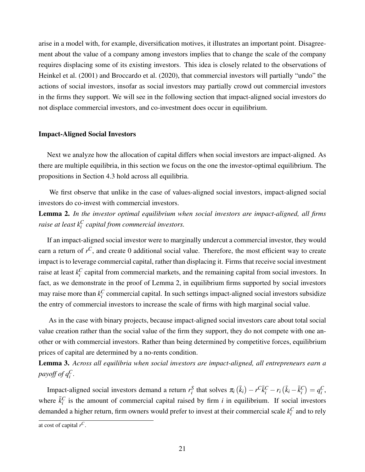arise in a model with, for example, diversification motives, it illustrates an important point. Disagreement about the value of a company among investors implies that to change the scale of the company requires displacing some of its existing investors. This idea is closely related to the observations of [Heinkel et al.](#page-38-1) [\(2001\)](#page-38-1) and [Broccardo et al.](#page-36-1) [\(2020\)](#page-36-1), that commercial investors will partially "undo" the actions of social investors, insofar as social investors may partially crowd out commercial investors in the firms they support. We will see in the following section that impact-aligned social investors do not displace commercial investors, and co-investment does occur in equilibrium.

### Impact-Aligned Social Investors

Next we analyze how the allocation of capital differs when social investors are impact-aligned. As there are multiple equilibria, in this section we focus on the one the investor-optimal equilibrium. The propositions in Section [4.3](#page-22-0) hold across all equilibria.

We first observe that unlike in the case of values-aligned social investors, impact-aligned social investors do co-invest with commercial investors.

<span id="page-20-0"></span>Lemma 2. *In the investor optimal equilibrium when social investors are impact-aligned, all firms raise at least k<sup>C</sup> i capital from commercial investors.*

If an impact-aligned social investor were to marginally undercut a commercial investor, they would earn a return of  $r^C$ , and create 0 additional social value. Therefore, the most efficient way to create impact is to leverage commercial capital, rather than displacing it. Firms that receive social investment raise at least  $k_i^C$  capital from commercial markets, and the remaining capital from social investors. In fact, as we demonstrate in the proof of Lemma [2,](#page-20-0) in equilibrium firms supported by social investors may raise more than  $k_i^C$  commercial capital. In such settings impact-aligned social investors subsidize the entry of commercial investors to increase the scale of firms with high marginal social value.

As in the case with binary projects, because impact-aligned social investors care about total social value creation rather than the social value of the firm they support, they do not compete with one another or with commercial investors. Rather than being determined by competitive forces, equilibrium prices of capital are determined by a no-rents condition.

<span id="page-20-1"></span>Lemma 3. *Across all equilibria when social investors are impact-aligned, all entrepreneurs earn a* payoff of  $q_i^C$ .

Impact-aligned social investors demand a return  $r_i^S$  that solves  $\pi_i(\bar{k}_i) - r^C \bar{k}_i^C - r_i(\bar{k}_i - \bar{k}_i^C) = q_i^C$ , where  $\bar{k}_i^C$  is the amount of commercial capital raised by firm *i* in equilibrium. If social investors demanded a higher return, firm owners would prefer to invest at their commercial scale  $k_i^C$  and to rely

at cost of capital *r C*.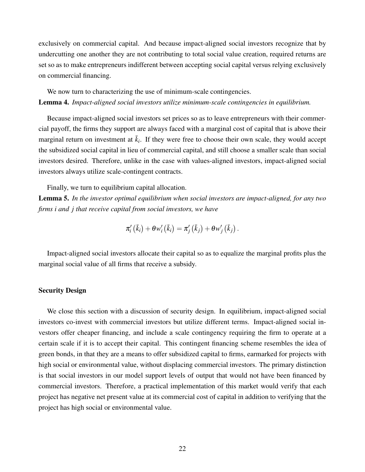exclusively on commercial capital. And because impact-aligned social investors recognize that by undercutting one another they are not contributing to total social value creation, required returns are set so as to make entrepreneurs indifferent between accepting social capital versus relying exclusively on commercial financing.

<span id="page-21-0"></span>We now turn to characterizing the use of minimum-scale contingencies. Lemma 4. *Impact-aligned social investors utilize minimum-scale contingencies in equilibrium.*

Because impact-aligned social investors set prices so as to leave entrepreneurs with their commercial payoff, the firms they support are always faced with a marginal cost of capital that is above their marginal return on investment at  $\bar{k}_i$ . If they were free to choose their own scale, they would accept the subsidized social capital in lieu of commercial capital, and still choose a smaller scale than social investors desired. Therefore, unlike in the case with values-aligned investors, impact-aligned social investors always utilize scale-contingent contracts.

Finally, we turn to equilibrium capital allocation.

<span id="page-21-1"></span>Lemma 5. *In the investor optimal equilibrium when social investors are impact-aligned, for any two firms i and j that receive capital from social investors, we have*

$$
\pi_{i}'\left(\bar{k}_{i}\right)+\theta w_{i}'\left(\bar{k}_{i}\right)=\pi_{j}'\left(\bar{k}_{j}\right)+\theta w_{j}'\left(\bar{k}_{j}\right).
$$

Impact-aligned social investors allocate their capital so as to equalize the marginal profits plus the marginal social value of all firms that receive a subsidy.

#### Security Design

We close this section with a discussion of security design. In equilibrium, impact-aligned social investors co-invest with commercial investors but utilize different terms. Impact-aligned social investors offer cheaper financing, and include a scale contingency requiring the firm to operate at a certain scale if it is to accept their capital. This contingent financing scheme resembles the idea of green bonds, in that they are a means to offer subsidized capital to firms, earmarked for projects with high social or environmental value, without displacing commercial investors. The primary distinction is that social investors in our model support levels of output that would not have been financed by commercial investors. Therefore, a practical implementation of this market would verify that each project has negative net present value at its commercial cost of capital in addition to verifying that the project has high social or environmental value.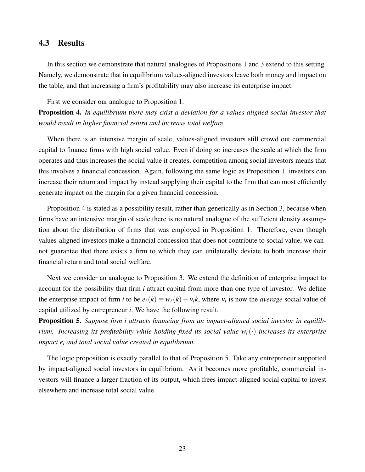## <span id="page-22-0"></span>4.3 Results

In this section we demonstrate that natural analogues of Propositions [1](#page-12-0) and [3](#page-15-0) extend to this setting. Namely, we demonstrate that in equilibrium values-aligned investors leave both money and impact on the table, and that increasing a firm's profitability may also increase its enterprise impact.

First we consider our analogue to Proposition [1.](#page-12-0)

<span id="page-22-1"></span>Proposition 4. *In equilibrium there may exist a deviation for a values-aligned social investor that would result in higher financial return and increase total welfare.*

When there is an intensive margin of scale, values-aligned investors still crowd out commercial capital to finance firms with high social value. Even if doing so increases the scale at which the firm operates and thus increases the social value it creates, competition among social investors means that this involves a financial concession. Again, following the same logic as Proposition [1,](#page-12-0) investors can increase their return and impact by instead supplying their capital to the firm that can most efficiently generate impact on the margin for a given financial concession.

Proposition [4](#page-22-1) is stated as a possibility result, rather than generically as in Section [3,](#page-8-0) because when firms have an intensive margin of scale there is no natural analogue of the sufficient density assumption about the distribution of firms that was employed in Proposition [1.](#page-12-0) Therefore, even though values-aligned investors make a financial concession that does not contribute to social value, we cannot guarantee that there exists a firm to which they can unilaterally deviate to both increase their financial return and total social welfare.

Next we consider an analogue to Proposition [3.](#page-15-0) We extend the definition of enterprise impact to account for the possibility that firm *i* attract capital from more than one type of investor. We define the enterprise impact of firm *i* to be  $e_i(k) \equiv w_i(k) - v_i k$ , where  $v_i$  is now the *average* social value of capital utilized by entrepreneur *i*. We have the following result.

<span id="page-22-2"></span>Proposition 5. *Suppose firm i attracts financing from an impact-aligned social investor in equilibrium. Increasing its profitability while holding fixed its social value wi*(·) *increases its enterprise impact e<sup>i</sup> and total social value created in equilibrium.*

The logic proposition is exactly parallel to that of Proposition [5.](#page-22-2) Take any entrepreneur supported by impact-aligned social investors in equilibrium. As it becomes more profitable, commercial investors will finance a larger fraction of its output, which frees impact-aligned social capital to invest elsewhere and increase total social value.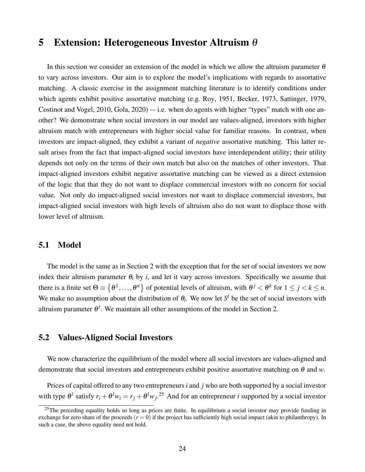## <span id="page-23-0"></span>5 Extension: Heterogeneous Investor Altruism θ

In this section we consider an extension of the model in which we allow the altruism parameter  $\theta$ to vary across investors. Our aim is to explore the model's implications with regards to assortative matching. A classic exercise in the assignment matching literature is to identify conditions under which agents exhibit positive assortative matching (e.g. [Roy, 1951,](#page-39-8) [Becker, 1973,](#page-36-4) [Sattinger, 1979,](#page-39-9) [Costinot and Vogel, 2010,](#page-37-3) Gola,  $2020$ ) -- i.e. when do agents with higher "types" match with one another? We demonstrate when social investors in our model are values-aligned, investors with higher altruism match with entrepreneurs with higher social value for familiar reasons. In contrast, when investors are impact-aligned, they exhibit a variant of *negative* assortative matching. This latter result arises from the fact that impact-aligned social investors have interdependent utility; their utility depends not only on the terms of their own match but also on the matches of other investors. That impact-aligned investors exhibit negative assortative matching can be viewed as a direct extension of the logic that that they do not want to displace commercial investors with no concern for social value. Not only do impact-aligned social investors not want to displace commercial investors, but impact-aligned social investors with high levels of altruism also do not want to displace those with lower level of altruism.

### 5.1 Model

The model is the same as in Section [2](#page-6-0) with the exception that for the set of social investors we now index their altruism parameter  $\theta_i$  by *i*, and let it vary across investors. Specifically we assume that there is a finite set  $\Theta \equiv \{\theta^1,\ldots,\theta^n\}$  of potential levels of altruism, with  $\theta^j < \theta^k$  for  $1 \le j < k \le n$ . We make no assumption about the distribution of  $\theta_i$ . We now let  $S^l$  be the set of social investors with altruism parameter  $\theta^l$ . We maintain all other assumptions of the model in Section [2.](#page-6-0)

## 5.2 Values-Aligned Social Investors

We now characterize the equilibrium of the model where all social investors are values-aligned and demonstrate that social investors and entrepreneurs exhibit positive assortative matching on  $\theta$  and  $w$ .

Prices of capital offered to any two entrepreneurs*i* and *j* who are both supported by a social investor with type  $\theta^l$  satisfy  $r_i + \theta^l w_i = r_j + \theta^l w_j$ .<sup>[25](#page-23-1)</sup> And for an entrepreneur *i* supported by a social investor

<span id="page-23-1"></span> $^{25}$ The preceding equality holds so long as prices are finite. In equilibrium a social investor may provide funding in exchange for zero share of the proceeds  $(r = 0)$  if the project has sufficiently high social impact (akin to philanthropy). In such a case, the above equality need not hold.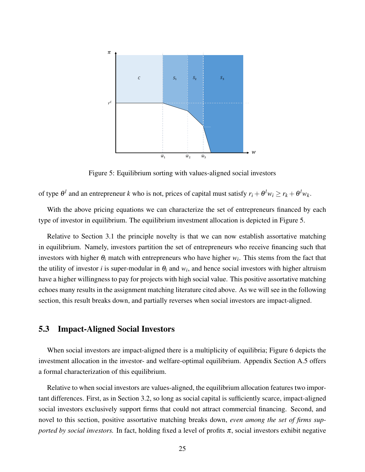

<span id="page-24-0"></span>Figure 5: Equilibrium sorting with values-aligned social investors

of type  $\theta^l$  and an entrepreneur *k* who is not, prices of capital must satisfy  $r_i + \theta^l w_i \ge r_k + \theta^l w_k$ .

With the above pricing equations we can characterize the set of entrepreneurs financed by each type of investor in equilibrium. The equilibrium investment allocation is depicted in Figure [5.](#page-24-0)

Relative to Section [3.1](#page-9-3) the principle novelty is that we can now establish assortative matching in equilibrium. Namely, investors partition the set of entrepreneurs who receive financing such that investors with higher  $\theta_i$  match with entrepreneurs who have higher  $w_i$ . This stems from the fact that the utility of investor *i* is super-modular in  $\theta_i$  and  $w_i$ , and hence social investors with higher altruism have a higher willingness to pay for projects with high social value. This positive assortative matching echoes many results in the assignment matching literature cited above. As we will see in the following section, this result breaks down, and partially reverses when social investors are impact-aligned.

## <span id="page-24-1"></span>5.3 Impact-Aligned Social Investors

When social investors are impact-aligned there is a multiplicity of equilibria; Figure [6](#page-25-0) depicts the investment allocation in the investor- and welfare-optimal equilibrium. Appendix Section [A.5](#page-48-0) offers a formal characterization of this equilibrium.

Relative to when social investors are values-aligned, the equilibrium allocation features two important differences. First, as in Section [3.2,](#page-10-3) so long as social capital is sufficiently scarce, impact-aligned social investors exclusively support firms that could not attract commercial financing. Second, and novel to this section, positive assortative matching breaks down, *even among the set of firms supported by social investors.* In fact, holding fixed a level of profits  $\pi$ , social investors exhibit negative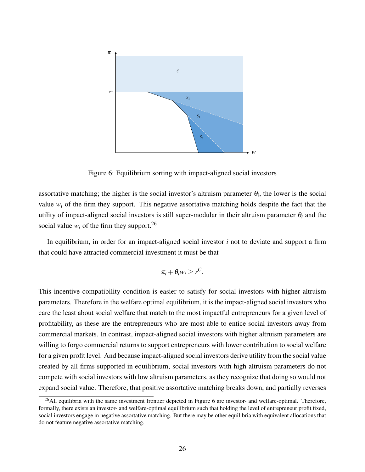

<span id="page-25-0"></span>Figure 6: Equilibrium sorting with impact-aligned social investors

assortative matching; the higher is the social investor's altruism parameter  $\theta_i$ , the lower is the social value  $w_i$  of the firm they support. This negative assortative matching holds despite the fact that the utility of impact-aligned social investors is still super-modular in their altruism parameter  $\theta_i$  and the social value  $w_i$  of the firm they support.<sup>[26](#page-25-1)</sup>

In equilibrium, in order for an impact-aligned social investor *i* not to deviate and support a firm that could have attracted commercial investment it must be that

$$
\pi_i+\theta_i w_i\geq r^C.
$$

This incentive compatibility condition is easier to satisfy for social investors with higher altruism parameters. Therefore in the welfare optimal equilibrium, it is the impact-aligned social investors who care the least about social welfare that match to the most impactful entrepreneurs for a given level of profitability, as these are the entrepreneurs who are most able to entice social investors away from commercial markets. In contrast, impact-aligned social investors with higher altruism parameters are willing to forgo commercial returns to support entrepreneurs with lower contribution to social welfare for a given profit level. And because impact-aligned social investors derive utility from the social value created by all firms supported in equilibrium, social investors with high altruism parameters do not compete with social investors with low altruism parameters, as they recognize that doing so would not expand social value. Therefore, that positive assortative matching breaks down, and partially reverses

<span id="page-25-1"></span><sup>&</sup>lt;sup>26</sup>All equilibria with the same investment frontier depicted in Figure [6](#page-25-0) are investor- and welfare-optimal. Therefore, formally, there exists an investor- and welfare-optimal equilibrium such that holding the level of entrepreneur profit fixed, social investors engage in negative assortative matching. But there may be other equilibria with equivalent allocations that do not feature negative assortative matching.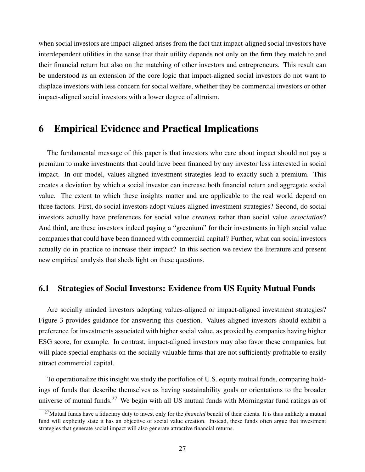when social investors are impact-aligned arises from the fact that impact-aligned social investors have interdependent utilities in the sense that their utility depends not only on the firm they match to and their financial return but also on the matching of other investors and entrepreneurs. This result can be understood as an extension of the core logic that impact-aligned social investors do not want to displace investors with less concern for social welfare, whether they be commercial investors or other impact-aligned social investors with a lower degree of altruism.

## <span id="page-26-0"></span>6 Empirical Evidence and Practical Implications

The fundamental message of this paper is that investors who care about impact should not pay a premium to make investments that could have been financed by any investor less interested in social impact. In our model, values-aligned investment strategies lead to exactly such a premium. This creates a deviation by which a social investor can increase both financial return and aggregate social value. The extent to which these insights matter and are applicable to the real world depend on three factors. First, do social investors adopt values-aligned investment strategies? Second, do social investors actually have preferences for social value *creation* rather than social value *association*? And third, are these investors indeed paying a "greenium" for their investments in high social value companies that could have been financed with commercial capital? Further, what can social investors actually do in practice to increase their impact? In this section we review the literature and present new empirical analysis that sheds light on these questions.

## 6.1 Strategies of Social Investors: Evidence from US Equity Mutual Funds

Are socially minded investors adopting values-aligned or impact-aligned investment strategies? Figure [3](#page-11-1) provides guidance for answering this question. Values-aligned investors should exhibit a preference for investments associated with higher social value, as proxied by companies having higher ESG score, for example. In contrast, impact-aligned investors may also favor these companies, but will place special emphasis on the socially valuable firms that are not sufficiently profitable to easily attract commercial capital.

To operationalize this insight we study the portfolios of U.S. equity mutual funds, comparing holdings of funds that describe themselves as having sustainability goals or orientations to the broader universe of mutual funds.<sup>[27](#page-26-1)</sup> We begin with all US mutual funds with Morningstar fund ratings as of

<span id="page-26-1"></span><sup>27</sup>Mutual funds have a fiduciary duty to invest only for the *financial* benefit of their clients. It is thus unlikely a mutual fund will explicitly state it has an objective of social value creation. Instead, these funds often argue that investment strategies that generate social impact will also generate attractive financial returns.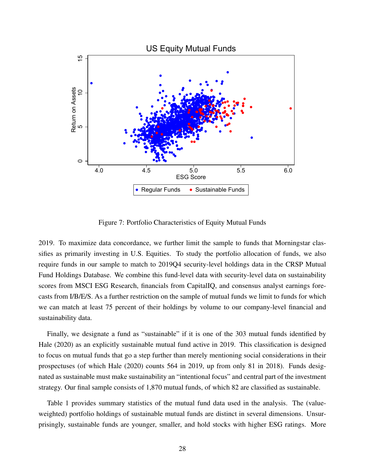

<span id="page-27-0"></span>Figure 7: Portfolio Characteristics of Equity Mutual Funds

2019. To maximize data concordance, we further limit the sample to funds that Morningstar classifies as primarily investing in U.S. Equities. To study the portfolio allocation of funds, we also require funds in our sample to match to 2019Q4 security-level holdings data in the CRSP Mutual Fund Holdings Database. We combine this fund-level data with security-level data on sustainability scores from MSCI ESG Research, financials from CapitalIQ, and consensus analyst earnings forecasts from I/B/E/S. As a further restriction on the sample of mutual funds we limit to funds for which we can match at least 75 percent of their holdings by volume to our company-level financial and sustainability data.

Finally, we designate a fund as "sustainable" if it is one of the 303 mutual funds identified by [Hale](#page-38-11) [\(2020\)](#page-38-11) as an explicitly sustainable mutual fund active in 2019. This classification is designed to focus on mutual funds that go a step further than merely mentioning social considerations in their prospectuses (of which [Hale](#page-38-11) [\(2020\)](#page-38-11) counts 564 in 2019, up from only 81 in 2018). Funds designated as sustainable must make sustainability an "intentional focus" and central part of the investment strategy. Our final sample consists of 1,870 mutual funds, of which 82 are classified as sustainable.

Table [1](#page-28-0) provides summary statistics of the mutual fund data used in the analysis. The (valueweighted) portfolio holdings of sustainable mutual funds are distinct in several dimensions. Unsurprisingly, sustainable funds are younger, smaller, and hold stocks with higher ESG ratings. More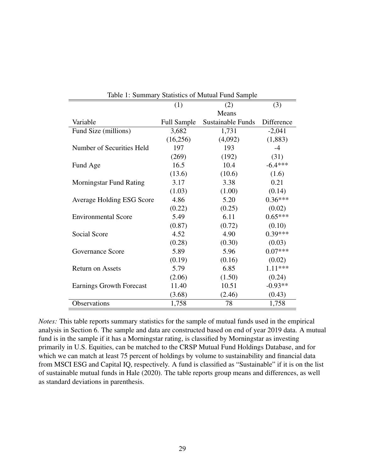|                                 | (1)         | (2)                      | (3)        |
|---------------------------------|-------------|--------------------------|------------|
|                                 | Means       |                          |            |
| Variable                        | Full Sample | <b>Sustainable Funds</b> | Difference |
| Fund Size (millions)            | 3,682       | 1,731                    | $-2,041$   |
|                                 | (16,256)    | (4,092)                  | (1,883)    |
| Number of Securities Held       | 197         | 193                      | $-4$       |
|                                 | (269)       | (192)                    | (31)       |
| Fund Age                        | 16.5        | 10.4                     | $-6.4***$  |
|                                 | (13.6)      | (10.6)                   | (1.6)      |
| <b>Morningstar Fund Rating</b>  | 3.17        | 3.38                     | 0.21       |
|                                 | (1.03)      | (1.00)                   | (0.14)     |
| Average Holding ESG Score       | 4.86        | 5.20                     | $0.36***$  |
|                                 | (0.22)      | (0.25)                   | (0.02)     |
| <b>Environmental Score</b>      | 5.49        | 6.11                     | $0.65***$  |
|                                 | (0.87)      | (0.72)                   | (0.10)     |
| Social Score                    | 4.52        | 4.90                     | $0.39***$  |
|                                 | (0.28)      | (0.30)                   | (0.03)     |
| Governance Score                | 5.89        | 5.96                     | $0.07***$  |
|                                 | (0.19)      | (0.16)                   | (0.02)     |
| <b>Return on Assets</b>         | 5.79        | 6.85                     | 1.11 ***   |
|                                 | (2.06)      | (1.50)                   | (0.24)     |
| <b>Earnings Growth Forecast</b> | 11.40       | 10.51                    | $-0.93**$  |
|                                 | (3.68)      | (2.46)                   | (0.43)     |
| Observations                    | 1,758       | 78                       | 1,758      |

<span id="page-28-0"></span>

| Table 1: Summary Statistics of Mutual Fund Sample |  |
|---------------------------------------------------|--|
|---------------------------------------------------|--|

*Notes:* This table reports summary statistics for the sample of mutual funds used in the empirical analysis in Section [6.](#page-26-0) The sample and data are constructed based on end of year 2019 data. A mutual fund is in the sample if it has a Morningstar rating, is classified by Morningstar as investing primarily in U.S. Equities, can be matched to the CRSP Mutual Fund Holdings Database, and for which we can match at least 75 percent of holdings by volume to sustainability and financial data from MSCI ESG and Capital IQ, respectively. A fund is classified as "Sustainable" if it is on the list of sustainable mutual funds in [Hale](#page-38-11) [\(2020\)](#page-38-11). The table reports group means and differences, as well as standard deviations in parenthesis.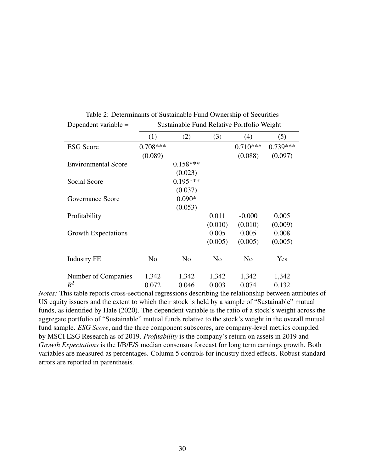| Dependent variable $=$     | Sustainable Fund Relative Portfolio Weight |                |                |                |            |  |
|----------------------------|--------------------------------------------|----------------|----------------|----------------|------------|--|
|                            | (1)                                        | (2)            | (3)            | (4)            | (5)        |  |
| <b>ESG</b> Score           | $0.708***$                                 |                |                | $0.710***$     | $0.739***$ |  |
|                            | (0.089)                                    |                |                | (0.088)        | (0.097)    |  |
| <b>Environmental Score</b> |                                            | $0.158***$     |                |                |            |  |
|                            |                                            | (0.023)        |                |                |            |  |
| Social Score               |                                            | $0.195***$     |                |                |            |  |
|                            |                                            | (0.037)        |                |                |            |  |
| Governance Score           |                                            | $0.090*$       |                |                |            |  |
|                            |                                            | (0.053)        |                |                |            |  |
| Profitability              |                                            |                | 0.011          | $-0.000$       | 0.005      |  |
|                            |                                            |                | (0.010)        | (0.010)        | (0.009)    |  |
| <b>Growth Expectations</b> |                                            |                | 0.005          | 0.005          | 0.008      |  |
|                            |                                            |                | (0.005)        | (0.005)        | (0.005)    |  |
| <b>Industry FE</b>         | N <sub>0</sub>                             | N <sub>0</sub> | N <sub>0</sub> | N <sub>0</sub> | Yes        |  |
| Number of Companies        | 1,342                                      | 1,342          | 1,342          | 1,342          | 1,342      |  |
| $R^2$                      | 0.072                                      | 0.046          | 0.003          | 0.074          | 0.132      |  |

<span id="page-29-0"></span>Table 2: Determinants of Sustainable Fund Ownership of Securities

*Notes:* This table reports cross-sectional regressions describing the relationship between attributes of US equity issuers and the extent to which their stock is held by a sample of "Sustainable" mutual funds, as identified by [Hale](#page-38-11) [\(2020\)](#page-38-11). The dependent variable is the ratio of a stock's weight across the aggregate portfolio of "Sustainable" mutual funds relative to the stock's weight in the overall mutual fund sample. *ESG Score*, and the three component subscores, are company-level metrics compiled by MSCI ESG Research as of 2019. *Profitability* is the company's return on assets in 2019 and *Growth Expectations* is the I/B/E/S median consensus forecast for long term earnings growth. Both variables are measured as percentages. Column 5 controls for industry fixed effects. Robust standard errors are reported in parenthesis.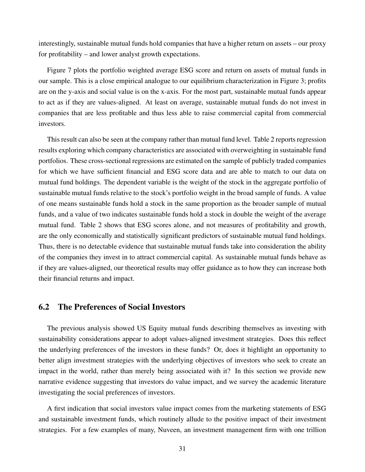interestingly, sustainable mutual funds hold companies that have a higher return on assets – our proxy for profitability – and lower analyst growth expectations.

Figure [7](#page-27-0) plots the portfolio weighted average ESG score and return on assets of mutual funds in our sample. This is a close empirical analogue to our equilibrium characterization in Figure [3;](#page-11-1) profits are on the y-axis and social value is on the x-axis. For the most part, sustainable mutual funds appear to act as if they are values-aligned. At least on average, sustainable mutual funds do not invest in companies that are less profitable and thus less able to raise commercial capital from commercial investors.

This result can also be seen at the company rather than mutual fund level. Table [2](#page-29-0) reports regression results exploring which company characteristics are associated with overweighting in sustainable fund portfolios. These cross-sectional regressions are estimated on the sample of publicly traded companies for which we have sufficient financial and ESG score data and are able to match to our data on mutual fund holdings. The dependent variable is the weight of the stock in the aggregate portfolio of sustainable mutual funds relative to the stock's portfolio weight in the broad sample of funds. A value of one means sustainable funds hold a stock in the same proportion as the broader sample of mutual funds, and a value of two indicates sustainable funds hold a stock in double the weight of the average mutual fund. Table [2](#page-29-0) shows that ESG scores alone, and not measures of profitability and growth, are the only economically and statistically significant predictors of sustainable mutual fund holdings. Thus, there is no detectable evidence that sustainable mutual funds take into consideration the ability of the companies they invest in to attract commercial capital. As sustainable mutual funds behave as if they are values-aligned, our theoretical results may offer guidance as to how they can increase both their financial returns and impact.

## 6.2 The Preferences of Social Investors

The previous analysis showed US Equity mutual funds describing themselves as investing with sustainability considerations appear to adopt values-aligned investment strategies. Does this reflect the underlying preferences of the investors in these funds? Or, does it highlight an opportunity to better align investment strategies with the underlying objectives of investors who seek to create an impact in the world, rather than merely being associated with it? In this section we provide new narrative evidence suggesting that investors do value impact, and we survey the academic literature investigating the social preferences of investors.

A first indication that social investors value impact comes from the marketing statements of ESG and sustainable investment funds, which routinely allude to the positive impact of their investment strategies. For a few examples of many, Nuveen, an investment management firm with one trillion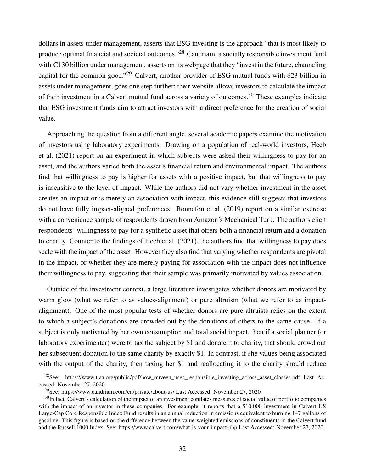dollars in assets under management, asserts that ESG investing is the approach "that is most likely to produce optimal financial and societal outcomes."[28](#page-31-0) Candriam, a socially responsible investment fund with  $\epsilon$ 130 billion under management, asserts on its webpage that they "invest in the future, channeling capital for the common good."[29](#page-31-1) Calvert, another provider of ESG mutual funds with \$23 billion in assets under management, goes one step further; their website allows investors to calculate the impact of their investment in a Calvert mutual fund across a variety of outcomes.<sup>[30](#page-31-2)</sup> These examples indicate that ESG investment funds aim to attract investors with a direct preference for the creation of social value.

Approaching the question from a different angle, several academic papers examine the motivation of investors using laboratory experiments. Drawing on a population of real-world investors, [Heeb](#page-38-12) [et al.](#page-38-12) [\(2021\)](#page-38-12) report on an experiment in which subjects were asked their willingness to pay for an asset, and the authors varied both the asset's financial return and environmental impact. The authors find that willingness to pay is higher for assets with a positive impact, but that willingness to pay is insensitive to the level of impact. While the authors did not vary whether investment in the asset creates an impact or is merely an association with impact, this evidence still suggests that investors do not have fully impact-aligned preferences. [Bonnefon et al.](#page-36-9) [\(2019\)](#page-36-9) report on a similar exercise with a convenience sample of respondents drawn from Amazon's Mechanical Turk. The authors elicit respondents' willingness to pay for a synthetic asset that offers both a financial return and a donation to charity. Counter to the findings of [Heeb et al.](#page-38-12) [\(2021\)](#page-38-12), the authors find that willingness to pay does scale with the impact of the asset. However they also find that varying whether respondents are pivotal in the impact, or whether they are merely paying for association with the impact does not influence their willingness to pay, suggesting that their sample was primarily motivated by values association.

Outside of the investment context, a large literature investigates whether donors are motivated by warm glow (what we refer to as values-alignment) or pure altruism (what we refer to as impactalignment). One of the most popular tests of whether donors are pure altruists relies on the extent to which a subject's donations are crowded out by the donations of others to the same cause. If a subject is only motivated by her own consumption and total social impact, then if a social planner (or laboratory experimenter) were to tax the subject by \$1 and donate it to charity, that should crowd out her subsequent donation to the same charity by exactly \$1. In contrast, if she values being associated with the output of the charity, then taxing her \$1 and reallocating it to the charity should reduce

<span id="page-31-0"></span><sup>28</sup>See: https://www.tiaa.org/public/pdf/how\_nuveen\_uses\_responsible\_investing\_across\_asset\_classes.pdf Last Accessed: November 27, 2020

<span id="page-31-2"></span><span id="page-31-1"></span><sup>29</sup>See: https://www.candriam.com/en/private/about-us/ Last Accessed: November 27, 2020

<sup>&</sup>lt;sup>30</sup>In fact, Calvert's calculation of the impact of an investment conflates measures of social value of portfolio companies with the impact of an investor in these companies. For example, it reports that a \$10,000 investment in Calvert US Large-Cap Core Responsible Index Fund results in an annual reduction in emissions equivalent to burning 147 gallons of gasoline. This figure is based on the difference between the value-weighted emissions of constituents in the Calvert fund and the Russell 1000 Index. See: https://www.calvert.com/what-is-your-impact.php Last Accessed: November 27, 2020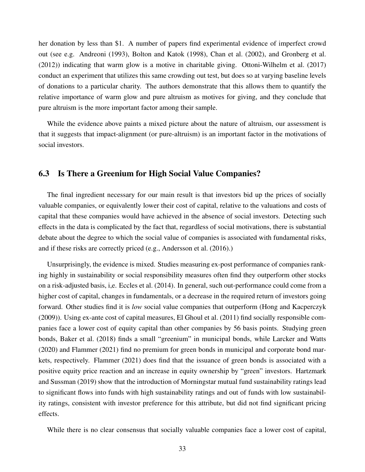her donation by less than \$1. A number of papers find experimental evidence of imperfect crowd out (see e.g. [Andreoni](#page-36-10) [\(1993\)](#page-36-10), [Bolton and Katok](#page-36-11) [\(1998\)](#page-36-11), [Chan et al.](#page-36-12) [\(2002\)](#page-36-12), and [Gronberg et al.](#page-37-11) [\(2012\)](#page-37-11)) indicating that warm glow is a motive in charitable giving. [Ottoni-Wilhelm et al.](#page-39-14) [\(2017\)](#page-39-14) conduct an experiment that utilizes this same crowding out test, but does so at varying baseline levels of donations to a particular charity. The authors demonstrate that this allows them to quantify the relative importance of warm glow and pure altruism as motives for giving, and they conclude that pure altruism is the more important factor among their sample.

While the evidence above paints a mixed picture about the nature of altruism, our assessment is that it suggests that impact-alignment (or pure-altruism) is an important factor in the motivations of social investors.

### 6.3 Is There a Greenium for High Social Value Companies?

The final ingredient necessary for our main result is that investors bid up the prices of socially valuable companies, or equivalently lower their cost of capital, relative to the valuations and costs of capital that these companies would have achieved in the absence of social investors. Detecting such effects in the data is complicated by the fact that, regardless of social motivations, there is substantial debate about the degree to which the social value of companies is associated with fundamental risks, and if these risks are correctly priced (e.g., [Andersson et al.](#page-36-13) [\(2016\)](#page-36-13).)

Unsurprisingly, the evidence is mixed. Studies measuring ex-post performance of companies ranking highly in sustainability or social responsibility measures often find they outperform other stocks on a risk-adjusted basis, i,e. [Eccles et al.](#page-37-10) [\(2014\)](#page-37-10). In general, such out-performance could come from a higher cost of capital, changes in fundamentals, or a decrease in the required return of investors going forward. Other studies find it is *low* social value companies that outperform [\(Hong and Kacperczyk](#page-38-13) [\(2009\)](#page-38-13)). Using ex-ante cost of capital measures, [El Ghoul et al.](#page-37-12) [\(2011\)](#page-37-12) find socially responsible companies face a lower cost of equity capital than other companies by 56 basis points. Studying green bonds, [Baker et al.](#page-36-14) [\(2018\)](#page-36-14) finds a small "greenium" in municipal bonds, while [Larcker and Watts](#page-38-14) [\(2020\)](#page-38-14) and [Flammer](#page-37-13) [\(2021\)](#page-37-13) find no premium for green bonds in municipal and corporate bond markets, respectively. [Flammer](#page-37-13) [\(2021\)](#page-37-13) does find that the issuance of green bonds is associated with a positive equity price reaction and an increase in equity ownership by "green" investors. [Hartzmark](#page-38-4) [and Sussman](#page-38-4) [\(2019\)](#page-38-4) show that the introduction of Morningstar mutual fund sustainability ratings lead to significant flows into funds with high sustainability ratings and out of funds with low sustainability ratings, consistent with investor preference for this attribute, but did not find significant pricing effects.

While there is no clear consensus that socially valuable companies face a lower cost of capital,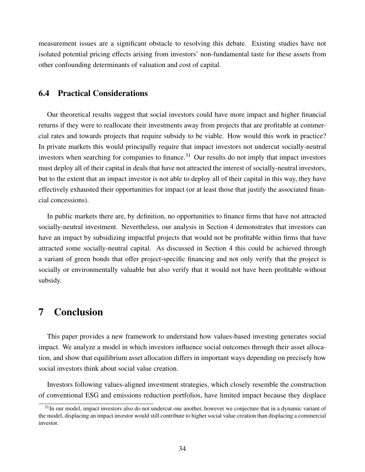measurement issues are a significant obstacle to resolving this debate. Existing studies have not isolated potential pricing effects arising from investors' non-fundamental taste for these assets from other confounding determinants of valuation and cost of capital.

## 6.4 Practical Considerations

Our theoretical results suggest that social investors could have more impact and higher financial returns if they were to reallocate their investments away from projects that are profitable at commercial rates and towards projects that require subsidy to be viable. How would this work in practice? In private markets this would principally require that impact investors not undercut socially-neutral investors when searching for companies to finance.<sup>[31](#page-33-1)</sup> Our results do not imply that impact investors must deploy all of their capital in deals that have not attracted the interest of socially-neutral investors, but to the extent that an impact investor is not able to deploy all of their capital in this way, they have effectively exhausted their opportunities for impact (or at least those that justify the associated financial concessions).

In public markets there are, by definition, no opportunities to finance firms that have not attracted socially-neutral investment. Nevertheless, our analysis in Section [4](#page-16-0) demonstrates that investors can have an impact by subsidizing impactful projects that would not be profitable within firms that have attracted some socially-neutral capital. As discussed in Section [4](#page-16-0) this could be achieved through a variant of green bonds that offer project-specific financing and not only verify that the project is socially or environmentally valuable but also verify that it would not have been profitable without subsidy.

## <span id="page-33-0"></span>7 Conclusion

This paper provides a new framework to understand how values-based investing generates social impact. We analyze a model in which investors influence social outcomes through their asset allocation, and show that equilibrium asset allocation differs in important ways depending on precisely how social investors think about social value creation.

Investors following values-aligned investment strategies, which closely resemble the construction of conventional ESG and emissions reduction portfolios, have limited impact because they displace

<span id="page-33-1"></span> $31$ In our model, impact investors also do not undercut one another, however we conjecture that in a dynamic variant of the model, displacing an impact investor would still contribute to higher social value creation than displacing a commercial investor.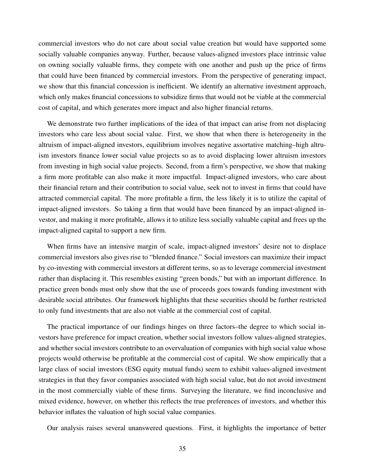commercial investors who do not care about social value creation but would have supported some socially valuable companies anyway. Further, because values-aligned investors place intrinsic value on owning socially valuable firms, they compete with one another and push up the price of firms that could have been financed by commercial investors. From the perspective of generating impact, we show that this financial concession is inefficient. We identify an alternative investment approach, which only makes financial concessions to subsidize firms that would not be viable at the commercial cost of capital, and which generates more impact and also higher financial returns.

We demonstrate two further implications of the idea of that impact can arise from not displacing investors who care less about social value. First, we show that when there is heterogeneity in the altruism of impact-aligned investors, equilibrium involves negative assortative matching–high altruism investors finance lower social value projects so as to avoid displacing lower altruism investors from investing in high social value projects. Second, from a firm's perspective, we show that making a firm more profitable can also make it more impactful. Impact-aligned investors, who care about their financial return and their contribution to social value, seek not to invest in firms that could have attracted commercial capital. The more profitable a firm, the less likely it is to utilize the capital of impact-aligned investors. So taking a firm that would have been financed by an impact-aligned investor, and making it more profitable, allows it to utilize less socially valuable capital and frees up the impact-aligned capital to support a new firm.

When firms have an intensive margin of scale, impact-aligned investors' desire not to displace commercial investors also gives rise to "blended finance." Social investors can maximize their impact by co-investing with commercial investors at different terms, so as to leverage commercial investment rather than displacing it. This resembles existing "green bonds," but with an important difference. In practice green bonds must only show that the use of proceeds goes towards funding investment with desirable social attributes. Our framework highlights that these securities should be further restricted to only fund investments that are also not viable at the commercial cost of capital.

The practical importance of our findings hinges on three factors–the degree to which social investors have preference for impact creation, whether social investors follow values-aligned strategies, and whether social investors contribute to an overvaluation of companies with high social value whose projects would otherwise be profitable at the commercial cost of capital. We show empirically that a large class of social investors (ESG equity mutual funds) seem to exhibit values-aligned investment strategies in that they favor companies associated with high social value, but do not avoid investment in the most commercially viable of these firms. Surveying the literature, we find inconclusive and mixed evidence, however, on whether this reflects the true preferences of investors, and whether this behavior inflates the valuation of high social value companies.

Our analysis raises several unanswered questions. First, it highlights the importance of better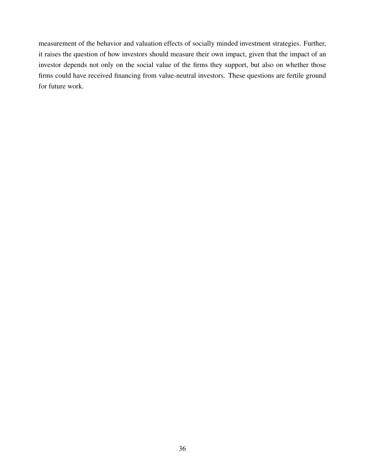measurement of the behavior and valuation effects of socially minded investment strategies. Further, it raises the question of how investors should measure their own impact, given that the impact of an investor depends not only on the social value of the firms they support, but also on whether those firms could have received financing from value-neutral investors. These questions are fertile ground for future work.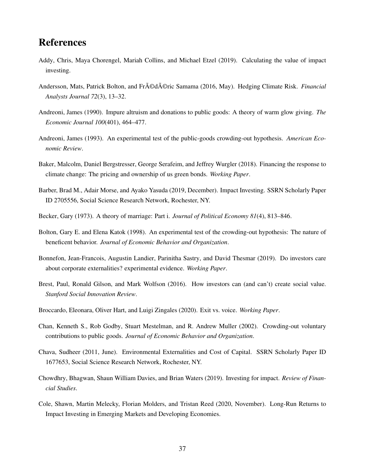# References

- <span id="page-36-8"></span>Addy, Chris, Maya Chorengel, Mariah Collins, and Michael Etzel (2019). Calculating the value of impact investing.
- <span id="page-36-13"></span>Andersson, Mats, Patrick Bolton, and Fr $\tilde{A} \odot d\tilde{A} \odot r$ ic Samama (2016, May). Hedging Climate Risk. *Financial Analysts Journal 72*(3), 13–32.
- <span id="page-36-3"></span>Andreoni, James (1990). Impure altruism and donations to public goods: A theory of warm glow giving. *The Economic Journal 100*(401), 464–477.
- <span id="page-36-10"></span>Andreoni, James (1993). An experimental test of the public-goods crowding-out hypothesis. *American Economic Review*.
- <span id="page-36-14"></span>Baker, Malcolm, Daniel Bergstresser, George Serafeim, and Jeffrey Wurgler (2018). Financing the response to climate change: The pricing and ownership of us green bonds. *Working Paper*.
- <span id="page-36-5"></span>Barber, Brad M., Adair Morse, and Ayako Yasuda (2019, December). Impact Investing. SSRN Scholarly Paper ID 2705556, Social Science Research Network, Rochester, NY.
- <span id="page-36-4"></span>Becker, Gary (1973). A theory of marriage: Part i. *Journal of Political Economy 81*(4), 813–846.
- <span id="page-36-11"></span>Bolton, Gary E. and Elena Katok (1998). An experimental test of the crowding-out hypothesis: The nature of beneficent behavior. *Journal of Economic Behavior and Organization*.
- <span id="page-36-9"></span>Bonnefon, Jean-Francois, Augustin Landier, Parinitha Sastry, and David Thesmar (2019). Do investors care about corporate externalities? experimental evidence. *Working Paper*.
- <span id="page-36-0"></span>Brest, Paul, Ronald Gilson, and Mark Wolfson (2016). How investors can (and can't) create social value. *Stanford Social Innovation Review*.
- <span id="page-36-1"></span>Broccardo, Eleonara, Oliver Hart, and Luigi Zingales (2020). Exit vs. voice. *Working Paper*.
- <span id="page-36-12"></span>Chan, Kenneth S., Rob Godby, Stuart Mestelman, and R. Andrew Muller (2002). Crowding-out voluntary contributions to public goods. *Journal of Economic Behavior and Organization*.
- <span id="page-36-7"></span>Chava, Sudheer (2011, June). Environmental Externalities and Cost of Capital. SSRN Scholarly Paper ID 1677653, Social Science Research Network, Rochester, NY.
- <span id="page-36-2"></span>Chowdhry, Bhagwan, Shaun William Davies, and Brian Waters (2019). Investing for impact. *Review of Financial Studies*.
- <span id="page-36-6"></span>Cole, Shawn, Martin Melecky, Florian Molders, and Tristan Reed (2020, November). Long-Run Returns to Impact Investing in Emerging Markets and Developing Economies.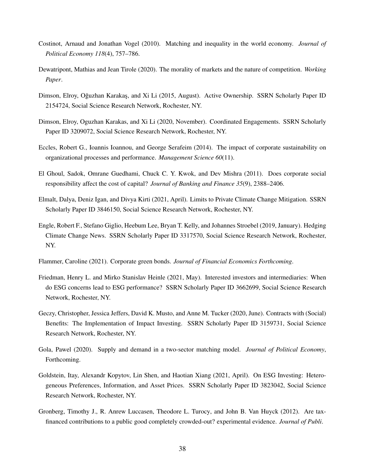- <span id="page-37-3"></span>Costinot, Arnaud and Jonathan Vogel (2010). Matching and inequality in the world economy. *Journal of Political Economy 118*(4), 757–786.
- <span id="page-37-2"></span>Dewatripont, Mathias and Jean Tirole (2020). The morality of markets and the nature of competition. *Working Paper*.
- <span id="page-37-5"></span>Dimson, Elroy, Oğuzhan Karakaş, and Xi Li (2015, August). Active Ownership. SSRN Scholarly Paper ID 2154724, Social Science Research Network, Rochester, NY.
- <span id="page-37-6"></span>Dimson, Elroy, Oguzhan Karakas, and Xi Li (2020, November). Coordinated Engagements. SSRN Scholarly Paper ID 3209072, Social Science Research Network, Rochester, NY.
- <span id="page-37-10"></span>Eccles, Robert G., Ioannis Ioannou, and George Serafeim (2014). The impact of corporate sustainability on organizational processes and performance. *Management Science 60*(11).
- <span id="page-37-12"></span>El Ghoul, Sadok, Omrane Guedhami, Chuck C. Y. Kwok, and Dev Mishra (2011). Does corporate social responsibility affect the cost of capital? *Journal of Banking and Finance 35*(9), 2388–2406.
- <span id="page-37-9"></span>Elmalt, Dalya, Deniz Igan, and Divya Kirti (2021, April). Limits to Private Climate Change Mitigation. SSRN Scholarly Paper ID 3846150, Social Science Research Network, Rochester, NY.
- <span id="page-37-8"></span>Engle, Robert F., Stefano Giglio, Heebum Lee, Bryan T. Kelly, and Johannes Stroebel (2019, January). Hedging Climate Change News. SSRN Scholarly Paper ID 3317570, Social Science Research Network, Rochester, NY.
- <span id="page-37-13"></span>Flammer, Caroline (2021). Corporate green bonds. *Journal of Financial Economics Forthcoming*.
- <span id="page-37-1"></span>Friedman, Henry L. and Mirko Stanislav Heinle (2021, May). Interested investors and intermediaries: When do ESG concerns lead to ESG performance? SSRN Scholarly Paper ID 3662699, Social Science Research Network, Rochester, NY.
- <span id="page-37-7"></span>Geczy, Christopher, Jessica Jeffers, David K. Musto, and Anne M. Tucker (2020, June). Contracts with (Social) Benefits: The Implementation of Impact Investing. SSRN Scholarly Paper ID 3159731, Social Science Research Network, Rochester, NY.
- <span id="page-37-4"></span>Gola, Pawel (2020). Supply and demand in a two-sector matching model. *Journal of Political Economy*, Forthcoming.
- <span id="page-37-0"></span>Goldstein, Itay, Alexandr Kopytov, Lin Shen, and Haotian Xiang (2021, April). On ESG Investing: Heterogeneous Preferences, Information, and Asset Prices. SSRN Scholarly Paper ID 3823042, Social Science Research Network, Rochester, NY.
- <span id="page-37-11"></span>Gronberg, Timothy J., R. Anrew Luccasen, Theodore L. Turocy, and John B. Van Huyck (2012). Are taxfinanced contributions to a public good completely crowded-out? experimental evidence. *Journal of Publi*.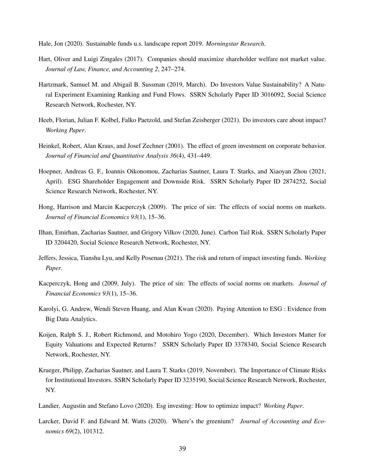<span id="page-38-11"></span>Hale, Jon (2020). Sustainable funds u.s. landscape report 2019. *Morningstar Research*.

- <span id="page-38-2"></span>Hart, Oliver and Luigi Zingales (2017). Companies should maximize shareholder welfare not market value. *Journal of Law, Finance, and Accounting 2*, 247–274.
- <span id="page-38-4"></span>Hartzmark, Samuel M. and Abigail B. Sussman (2019, March). Do Investors Value Sustainability? A Natural Experiment Examining Ranking and Fund Flows. SSRN Scholarly Paper ID 3016092, Social Science Research Network, Rochester, NY.
- <span id="page-38-12"></span>Heeb, Florian, Julian F. Kolbel, Falko Paetzold, and Stefan Zeisberger (2021). Do investors care about impact? *Working Paper*.
- <span id="page-38-1"></span>Heinkel, Robert, Alan Kraus, and Josef Zechner (2001). The effect of green investment on corporate behavior. *Journal of Financial and Quantitative Analysis 36*(4), 431–449.
- <span id="page-38-5"></span>Hoepner, Andreas G. F., Ioannis Oikonomou, Zacharias Sautner, Laura T. Starks, and Xiaoyan Zhou (2021, April). ESG Shareholder Engagement and Downside Risk. SSRN Scholarly Paper ID 2874252, Social Science Research Network, Rochester, NY.
- <span id="page-38-13"></span>Hong, Harrison and Marcin Kacperczyk (2009). The price of sin: The effects of social norms on markets. *Journal of Financial Economics 93*(1), 15–36.
- <span id="page-38-8"></span>Ilhan, Emirhan, Zacharias Sautner, and Grigory Vilkov (2020, June). Carbon Tail Risk. SSRN Scholarly Paper ID 3204420, Social Science Research Network, Rochester, NY.
- <span id="page-38-6"></span>Jeffers, Jessica, Tianshu Lyu, and Kelly Posenau (2021). The risk and return of impact investing funds. *Working Paper*.
- <span id="page-38-7"></span>Kacperczyk, Hong and (2009, July). The price of sin: The effects of social norms on markets. *Journal of Financial Economics 93*(1), 15–36.
- <span id="page-38-10"></span>Karolyi, G. Andrew, Wendi Steven Huang, and Alan Kwan (2020). Paying Attention to ESG : Evidence from Big Data Analytics.
- <span id="page-38-9"></span>Koijen, Ralph S. J., Robert Richmond, and Motohiro Yogo (2020, December). Which Investors Matter for Equity Valuations and Expected Returns? SSRN Scholarly Paper ID 3378340, Social Science Research Network, Rochester, NY.
- <span id="page-38-3"></span>Krueger, Philipp, Zacharias Sautner, and Laura T. Starks (2019, November). The Importance of Climate Risks for Institutional Investors. SSRN Scholarly Paper ID 3235190, Social Science Research Network, Rochester, NY.

<span id="page-38-0"></span>Landier, Augustin and Stefano Lovo (2020). Esg investing: How to optimize impact? *Working Paper*.

<span id="page-38-14"></span>Larcker, David F. and Edward M. Watts (2020). Where's the greenium? *Journal of Accounting and Economics 69*(2), 101312.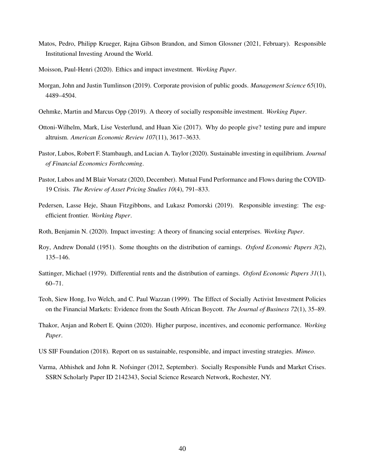- <span id="page-39-10"></span>Matos, Pedro, Philipp Krueger, Rajna Gibson Brandon, and Simon Glossner (2021, February). Responsible Institutional Investing Around the World.
- <span id="page-39-4"></span>Moisson, Paul-Henri (2020). Ethics and impact investment. *Working Paper*.
- <span id="page-39-7"></span>Morgan, John and Justin Tumlinson (2019). Corporate provision of public goods. *Management Science 65*(10), 4489–4504.
- <span id="page-39-1"></span>Oehmke, Martin and Marcus Opp (2019). A theory of socially responsible investment. *Working Paper*.
- <span id="page-39-14"></span>Ottoni-Wilhelm, Mark, Lise Vesterlund, and Huan Xie (2017). Why do people give? testing pure and impure altruism. *American Economic Review 107*(11), 3617–3633.
- <span id="page-39-3"></span>Pastor, Lubos, Robert F. Stambaugh, and Lucian A. Taylor (2020). Sustainable investing in equilibrium. *Journal of Financial Economics Forthcoming*.
- <span id="page-39-11"></span>Pastor, Lubos and M Blair Vorsatz (2020, December). Mutual Fund Performance and Flows during the COVID-19 Crisis. *The Review of Asset Pricing Studies 10*(4), 791–833.
- <span id="page-39-2"></span>Pedersen, Lasse Heje, Shaun Fitzgibbons, and Lukasz Pomorski (2019). Responsible investing: The esgefficient frontier. *Working Paper*.
- <span id="page-39-6"></span>Roth, Benjamin N. (2020). Impact investing: A theory of financing social enterprises. *Working Paper*.
- <span id="page-39-8"></span>Roy, Andrew Donald (1951). Some thoughts on the distribution of earnings. *Oxford Economic Papers 3*(2), 135–146.
- <span id="page-39-9"></span>Sattinger, Michael (1979). Differential rents and the distribution of earnings. *Oxford Economic Papers 31*(1), 60–71.
- <span id="page-39-12"></span>Teoh, Siew Hong, Ivo Welch, and C. Paul Wazzan (1999). The Effect of Socially Activist Investment Policies on the Financial Markets: Evidence from the South African Boycott. *The Journal of Business 72*(1), 35–89.
- <span id="page-39-5"></span>Thakor, Anjan and Robert E. Quinn (2020). Higher purpose, incentives, and economic performance. *Working Paper*.
- <span id="page-39-0"></span>US SIF Foundation (2018). Report on us sustainable, responsible, and impact investing strategies. *Mimeo*.
- <span id="page-39-13"></span>Varma, Abhishek and John R. Nofsinger (2012, September). Socially Responsible Funds and Market Crises. SSRN Scholarly Paper ID 2142343, Social Science Research Network, Rochester, NY.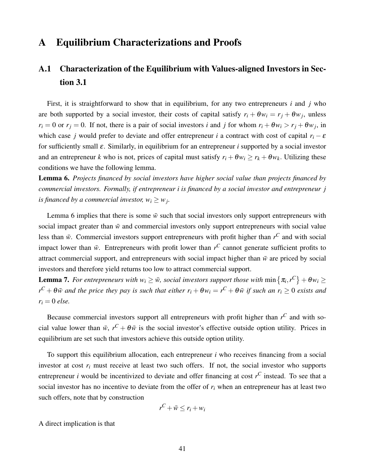## A Equilibrium Characterizations and Proofs

# <span id="page-40-0"></span>A.1 Characterization of the Equilibrium with Values-aligned Investors in Section [3.1](#page-9-3)

First, it is straightforward to show that in equilibrium, for any two entrepreneurs *i* and *j* who are both supported by a social investor, their costs of capital satisfy  $r_i + \theta w_i = r_j + \theta w_j$ , unless  $r_i = 0$  or  $r_j = 0$ . If not, there is a pair of social investors *i* and *j* for whom  $r_i + \theta w_i > r_j + \theta w_j$ , in which case *j* would prefer to deviate and offer entrepreneur *i* a contract with cost of capital  $r_i - \varepsilon$ for sufficiently small  $\varepsilon$ . Similarly, in equilibrium for an entrepreneur *i* supported by a social investor and an entrepreneur *k* who is not, prices of capital must satisfy  $r_i + \theta w_i \ge r_k + \theta w_k$ . Utilizing these conditions we have the following lemma.

<span id="page-40-1"></span>Lemma 6. *Projects financed by social investors have higher social value than projects financed by commercial investors. Formally, if entrepreneur i is financed by a social investor and entrepreneur j is financed by a commercial investor,*  $w_i \geq w_j$ .

Lemma [6](#page-40-1) implies that there is some  $\bar{w}$  such that social investors only support entrepreneurs with social impact greater than  $\bar{w}$  and commercial investors only support entrepreneurs with social value less than  $\bar{w}$ . Commercial investors support entrepreneurs with profit higher than  $r^C$  and with social impact lower than  $\bar{w}$ . Entrepreneurs with profit lower than  $r^C$  cannot generate sufficient profits to attract commercial support, and entrepreneurs with social impact higher than  $\bar{w}$  are priced by social investors and therefore yield returns too low to attract commercial support.

<span id="page-40-2"></span>**Lemma 7.** For entrepreneurs with  $w_i \ge \bar{w}$ , social investors support those with  $\min\left\{\pi_i, r^C\right\} + \theta w_i \ge$  $r^C + \theta \bar{w}$  and the price they pay is such that either  $r_i + \theta w_i = r^C + \theta \bar{w}$  if such an  $r_i \geq 0$  exists and  $r_i = 0$  *else.* 

Because commercial investors support all entrepreneurs with profit higher than  $r^C$  and with social value lower than  $\bar{w}$ ,  $r^C + \theta \bar{w}$  is the social investor's effective outside option utility. Prices in equilibrium are set such that investors achieve this outside option utility.

To support this equilibrium allocation, each entrepreneur *i* who receives financing from a social investor at cost  $r_i$  must receive at least two such offers. If not, the social investor who supports entrepreneur *i* would be incentivized to deviate and offer financing at cost *r <sup>C</sup>* instead. To see that a social investor has no incentive to deviate from the offer of  $r_i$  when an entrepreneur has at least two such offers, note that by construction

$$
r^C + \bar{w} \le r_i + w_i
$$

A direct implication is that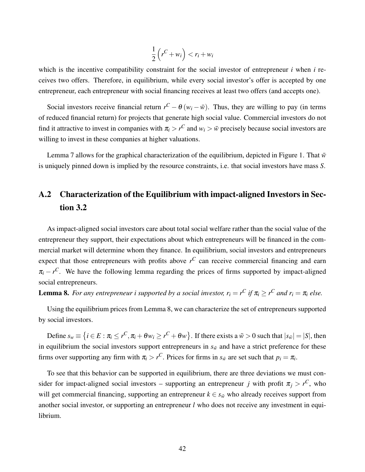$$
\frac{1}{2}\left(r^C + w_i\right) < r_i + w_i
$$

which is the incentive compatibility constraint for the social investor of entrepreneur *i* when *i* receives two offers. Therefore, in equilibrium, while every social investor's offer is accepted by one entrepreneur, each entrepreneur with social financing receives at least two offers (and accepts one).

Social investors receive financial return  $r^C - \theta(w_i - \bar{w})$ . Thus, they are willing to pay (in terms of reduced financial return) for projects that generate high social value. Commercial investors do not find it attractive to invest in companies with  $\pi_i > r^C$  and  $w_i > \bar{w}$  precisely because social investors are willing to invest in these companies at higher valuations.

Lemma [7](#page-40-2) allows for the graphical characterization of the equilibrium, depicted in Figure [1.](#page-9-2) That  $\bar{w}$ is uniquely pinned down is implied by the resource constraints, i.e. that social investors have mass *S*.

# <span id="page-41-0"></span>A.2 Characterization of the Equilibrium with impact-aligned Investors in Section [3.2](#page-10-3)

As impact-aligned social investors care about total social welfare rather than the social value of the entrepreneur they support, their expectations about which entrepreneurs will be financed in the commercial market will determine whom they finance. In equilibrium, social investors and entrepreneurs expect that those entrepreneurs with profits above  $r^C$  can receive commercial financing and earn  $\pi_i - r^C$ . We have the following lemma regarding the prices of firms supported by impact-aligned social entrepreneurs.

<span id="page-41-1"></span>**Lemma 8.** For any entrepreneur i supported by a social investor,  $r_i = r^C$  if  $\pi_i \ge r^C$  and  $r_i = \pi_i$  else.

Using the equilibrium prices from Lemma [8,](#page-41-1) we can characterize the set of entrepreneurs supported by social investors.

Define  $s_w \equiv \left\{ i \in E : \pi_i \leq r^C, \pi_i + \theta w_i \geq r^C + \theta w \right\}$ . If there exists a  $\tilde{w} > 0$  such that  $|s_{\tilde{w}}| = |S|$ , then in equilibrium the social investors support entrepreneurs in  $s_{\tilde{w}}$  and have a strict preference for these firms over supporting any firm with  $\pi_i > r^C$ . Prices for firms in  $s_{\tilde{w}}$  are set such that  $p_i = \pi_i$ .

To see that this behavior can be supported in equilibrium, there are three deviations we must consider for impact-aligned social investors – supporting an entrepreneur *j* with profit  $\pi_j > r^C$ , who will get commercial financing, supporting an entrepreneur  $k \in s_{\tilde{w}}$  who already receives support from another social investor, or supporting an entrepreneur *l* who does not receive any investment in equilibrium.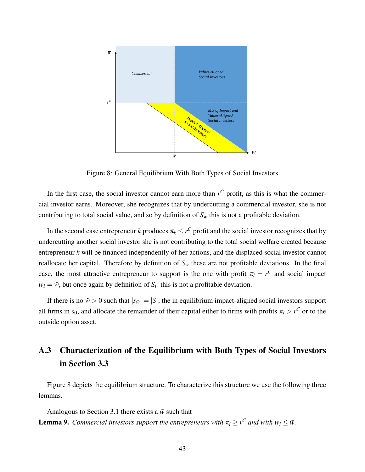

<span id="page-42-1"></span>Figure 8: General Equilibrium With Both Types of Social Investors

In the first case, the social investor cannot earn more than  $r^C$  profit, as this is what the commercial investor earns. Moreover, she recognizes that by undercutting a commercial investor, she is not contributing to total social value, and so by definition of  $S_w$  this is not a profitable deviation.

In the second case entrepreneur *k* produces  $\pi_k \leq r^C$  profit and the social investor recognizes that by undercutting another social investor she is not contributing to the total social welfare created because entrepreneur *k* will be financed independently of her actions, and the displaced social investor cannot reallocate her capital. Therefore by definition of  $S_w$  these are not profitable deviations. In the final case, the most attractive entrepreneur to support is the one with profit  $\pi_l = r^C$  and social impact  $w_l = \tilde{w}$ , but once again by definition of  $S_w$  this is not a profitable deviation.

If there is no  $\tilde{w} > 0$  such that  $|s_{\tilde{w}}| = |S|$ , the in equilibrium impact-aligned social investors support all firms in  $s_0$ , and allocate the remainder of their capital either to firms with profits  $\pi_i > r^C$  or to the outside option asset.

# <span id="page-42-0"></span>A.3 Characterization of the Equilibrium with Both Types of Social Investors in Section [3.3](#page-11-0)

Figure [8](#page-42-1) depicts the equilibrium structure. To characterize this structure we use the following three lemmas.

Analogous to Section [3.1](#page-9-3) there exists a  $\bar{w}$  such that **Lemma 9.** Commercial investors support the entrepreneurs with  $\pi_i \geq r^C$  and with  $w_i \leq \bar{w}$ .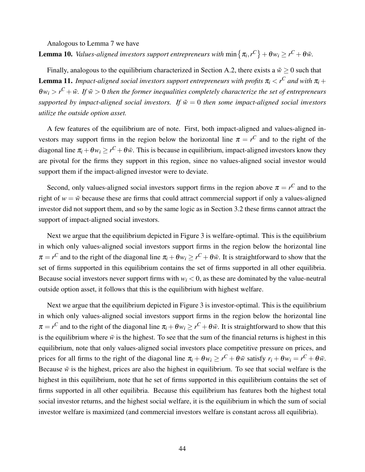Analogous to Lemma [7](#page-40-2) we have

**Lemma 10.** *Values-aligned investors support entrepreneurs with*  $\min \{ \pi_i, r^C \} + \theta w_i \geq r^C + \theta \bar{w}.$ 

Finally, analogous to the equilibrium characterized in Section [A.2,](#page-41-0) there exists a  $\tilde{w} \ge 0$  such that **Lemma 11.** *Impact-aligned social investors support entrepreneurs with profits*  $\pi_i < r^C$  *and with*  $\pi_i$  *+*  $\theta w_i > r^C + \tilde{w}$ . If  $\tilde{w} > 0$  then the former inequalities completely characterize the set of entrepreneurs *supported by impact-aligned social investors. If*  $\tilde{w} = 0$  *then some impact-aligned social investors utilize the outside option asset.*

A few features of the equilibrium are of note. First, both impact-aligned and values-aligned investors may support firms in the region below the horizontal line  $\pi = r^C$  and to the right of the diagonal line  $\pi_i + \theta w_i \ge r^C + \theta \bar{w}$ . This is because in equilibrium, impact-aligned investors know they are pivotal for the firms they support in this region, since no values-aligned social investor would support them if the impact-aligned investor were to deviate.

Second, only values-aligned social investors support firms in the region above  $\pi = r^C$  and to the right of  $w = \bar{w}$  because these are firms that could attract commercial support if only a values-aligned investor did not support them, and so by the same logic as in Section [3.2](#page-10-3) these firms cannot attract the support of impact-aligned social investors.

Next we argue that the equilibrium depicted in Figure [3](#page-11-1) is welfare-optimal. This is the equilibrium in which only values-aligned social investors support firms in the region below the horizontal line  $\pi = r^C$  and to the right of the diagonal line  $\pi_i + \theta w_i \ge r^C + \theta \bar{w}$ . It is straightforward to show that the set of firms supported in this equilibrium contains the set of firms supported in all other equilibria. Because social investors never support firms with  $w_i < 0$ , as these are dominated by the value-neutral outside option asset, it follows that this is the equilibrium with highest welfare.

Next we argue that the equilibrium depicted in Figure [3](#page-11-1) is investor-optimal. This is the equilibrium in which only values-aligned social investors support firms in the region below the horizontal line  $\pi = r^C$  and to the right of the diagonal line  $\pi_i + \theta w_i \ge r^C + \theta \bar{w}$ . It is straightforward to show that this is the equilibrium where  $\bar{w}$  is the highest. To see that the sum of the financial returns is highest in this equilibrium, note that only values-aligned social investors place competitive pressure on prices, and prices for all firms to the right of the diagonal line  $\pi_i + \theta w_i \ge r^C + \theta \bar{w}$  satisfy  $r_i + \theta w_i = r^C + \theta \bar{w}$ . Because  $\bar{w}$  is the highest, prices are also the highest in equilibrium. To see that social welfare is the highest in this equilibrium, note that he set of firms supported in this equilibrium contains the set of firms supported in all other equilibria. Because this equilibrium has features both the highest total social investor returns, and the highest social welfare, it is the equilibrium in which the sum of social investor welfare is maximized (and commercial investors welfare is constant across all equilibria).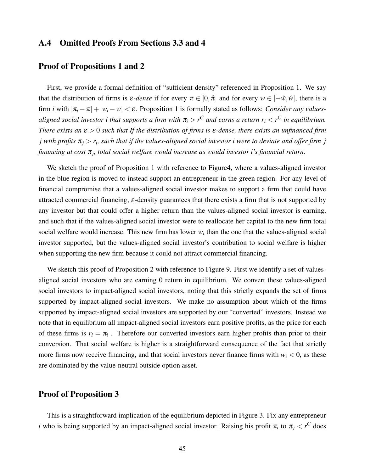## A.4 Omitted Proofs From Sections [3.3](#page-11-0) and [4](#page-16-0)

## Proof of Propositions [1](#page-12-0) and [2](#page-14-0)

First, we provide a formal definition of "sufficient density" referenced in Proposition [1.](#page-12-0) We say that the distribution of firms is  $\varepsilon$ -dense if for every  $\pi \in [0, \hat{\pi}]$  and for every  $w \in [-\hat{w}, \hat{w}]$ , there is a firm *i* with  $|\pi_i - \pi| + |w_i - w| < \varepsilon$ . Proposition [1](#page-12-0) is formally stated as follows: *Consider any valuesaligned social investor i that supports a firm with*  $\pi$ *<sub>i</sub>*  $>$  *r<sup>C</sup> and earns a return*  $r$ *<sub>i</sub>*  $<$  *r<sup>C</sup> in equilibrium. There exists an* ε > 0 *such that If the distribution of firms is* ε*-dense, there exists an unfinanced firm j* with profits  $\pi_j > r_i$ , such that if the values-aligned social investor i were to deviate and offer firm  $j$ *financing at cost* π*<sup>j</sup> , total social welfare would increase as would investor i's financial return.*

We sketch the proof of Proposition [1](#page-12-0) with reference to Figur[e4,](#page-13-0) where a values-aligned investor in the blue region is moved to instead support an entrepreneur in the green region. For any level of financial compromise that a values-aligned social investor makes to support a firm that could have attracted commercial financing,  $\varepsilon$ -density guarantees that there exists a firm that is not supported by any investor but that could offer a higher return than the values-aligned social investor is earning, and such that if the values-aligned social investor were to reallocate her capital to the new firm total social welfare would increase. This new firm has lower  $w_i$  than the one that the values-aligned social investor supported, but the values-aligned social investor's contribution to social welfare is higher when supporting the new firm because it could not attract commercial financing.

We sketch this proof of Proposition [2](#page-14-0) with reference to Figure [9.](#page-45-0) First we identify a set of valuesaligned social investors who are earning 0 return in equilibrium. We convert these values-aligned social investors to impact-aligned social investors, noting that this strictly expands the set of firms supported by impact-aligned social investors. We make no assumption about which of the firms supported by impact-aligned social investors are supported by our "converted" investors. Instead we note that in equilibrium all impact-aligned social investors earn positive profits, as the price for each of these firms is  $r_i = \pi_i$ . Therefore our converted investors earn higher profits than prior to their conversion. That social welfare is higher is a straightforward consequence of the fact that strictly more firms now receive financing, and that social investors never finance firms with  $w_i < 0$ , as these are dominated by the value-neutral outside option asset.

## Proof of Proposition [3](#page-15-0)

This is a straightforward implication of the equilibrium depicted in Figure [3.](#page-11-1) Fix any entrepreneur *i* who is being supported by an impact-aligned social investor. Raising his profit  $\pi_i$  to  $\pi_j < r^C$  does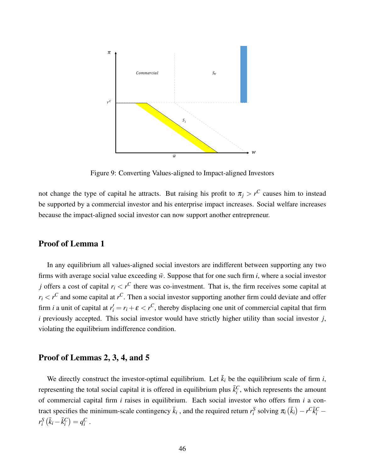

<span id="page-45-0"></span>Figure 9: Converting Values-aligned to Impact-aligned Investors

not change the type of capital he attracts. But raising his profit to  $\pi_j > r^C$  causes him to instead be supported by a commercial investor and his enterprise impact increases. Social welfare increases because the impact-aligned social investor can now support another entrepreneur.

## Proof of Lemma [1](#page-19-4)

In any equilibrium all values-aligned social investors are indifferent between supporting any two firms with average social value exceeding  $\bar{w}$ . Suppose that for one such firm *i*, where a social investor *j* offers a cost of capital  $r_i < r^C$  there was co-investment. That is, the firm receives some capital at  $r_i < r^C$  and some capital at  $r^C$ . Then a social investor supporting another firm could deviate and offer firm *i* a unit of capital at  $r'_i = r_i + \varepsilon < r^C$ , thereby displacing one unit of commercial capital that firm *i* previously accepted. This social investor would have strictly higher utility than social investor *j*, violating the equilibrium indifference condition.

## Proof of Lemmas [2,](#page-20-0) [3,](#page-20-1) [4,](#page-21-0) and [5](#page-21-1)

We directly construct the investor-optimal equilibrium. Let  $\bar{k}_i$  be the equilibrium scale of firm *i*, representing the total social capital it is offered in equilibrium plus  $\bar{k}_i^C$ , which represents the amount of commercial capital firm *i* raises in equilibrium. Each social investor who offers firm *i* a contract specifies the minimum-scale contingency  $\bar{k}_i$ , and the required return  $r_i^S$  solving  $\pi_i(\bar{k}_i) - r^C \bar{k}_i^C$  $r_i^S(\bar{k}_i - \bar{k}_i^C) = q_i^C$ .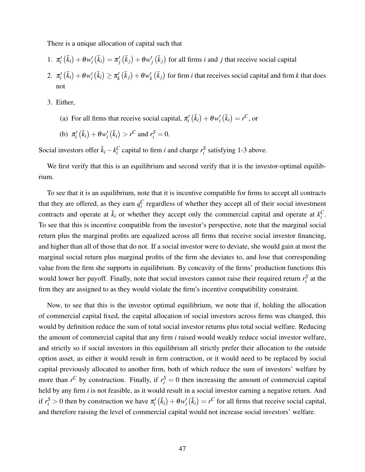There is a unique allocation of capital such that

- 1.  $\pi'_i(\bar{k}_i) + \theta w'_i(\bar{k}_i) = \pi'_j(\bar{k}_j) + \theta w'_j(\bar{k}_j)$  for all firms *i* and *j* that receive social capital
- $2. \ \pi'_i\left(\bar{k}_i\right) + \theta w'_i\left(\bar{k}_i\right) \geq \pi'_k$  $\frac{d}{k}(\bar{k}_j)+\theta w'_k$  $\mathbf{z}'_k$  ( $\bar{k}_j$ ) for firm *i* that receives social capital and firm *k* that does not
- 3. Either,
	- (a) For all firms that receive social capital,  $\pi'_{i}(\bar{k}_{i}) + \theta w'_{i}(\bar{k}_{i}) = r^{C}$ , or
	- (b)  $\pi'_i(\bar{k}_i) + \theta w'_i(\bar{k}_i) > r^C$  and  $r_i^S = 0$ .

Social investors offer  $\bar{k}_i - k_i^C$  capital to firm *i* and charge  $r_i^S$  satisfying 1-3 above.

We first verify that this is an equilibrium and second verify that it is the investor-optimal equilibrium.

To see that it is an equilibrium, note that it is incentive compatible for firms to accept all contracts that they are offered, as they earn  $q_i^C$  regardless of whether they accept all of their social investment contracts and operate at  $\bar{k}_i$  or whether they accept only the commercial capital and operate at  $k_i^C$ . To see that this is incentive compatible from the investor's perspective, note that the marginal social return plus the marginal profits are equalized across all firms that receive social investor financing, and higher than all of those that do not. If a social investor were to deviate, she would gain at most the marginal social return plus marginal profits of the firm she deviates to, and lose that corresponding value from the firm she supports in equilibrium. By concavity of the firms' production functions this would lower her payoff. Finally, note that social investors cannot raise their required return  $r_i^S$  at the firm they are assigned to as they would violate the firm's incentive compatibility constraint.

Now, to see that this is the investor optimal equilibrium, we note that if, holding the allocation of commercial capital fixed, the capital allocation of social investors across firms was changed, this would by definition reduce the sum of total social investor returns plus total social welfare. Reducing the amount of commercial capital that any firm *i* raised would weakly reduce social investor welfare, and strictly so if social investors in this equilibrium all strictly prefer their allocation to the outside option asset, as either it would result in firm contraction, or it would need to be replaced by social capital previously allocated to another firm, both of which reduce the sum of investors' welfare by more than  $r^C$  by construction. Finally, if  $r_i^S = 0$  then increasing the amount of commercial capital held by any firm *i* is not feasible, as it would result in a social investor earning a negative return. And if  $r_i^S > 0$  then by construction we have  $\pi'_i(\bar{k}_i) + \theta w'_i(\bar{k}_i) = r^C$  for all firms that receive social capital, and therefore raising the level of commercial capital would not increase social investors' welfare.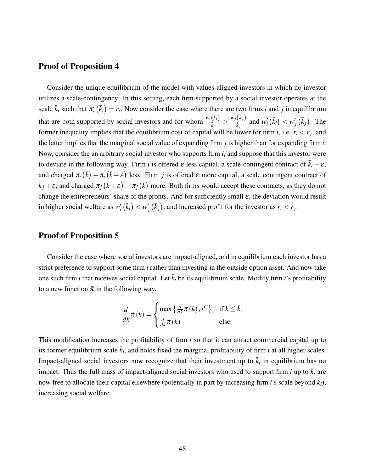## Proof of Proposition [4](#page-22-1)

Consider the unique equilibrium of the model with values-aligned investors in which no investor utilizes a scale-contingency. In this setting, each firm supported by a social investor operates at the scale  $\bar{k}_i$  such that  $\pi'_i(\bar{k}_i) = r_i$ . Now consider the case where there are two firms *i* and *j* in equilibrium that are both supported by social investors and for whom  $w_i(\bar{k}_i)$  $\frac{(\bar{k}_i)}{\bar{k}_i}$  >  $\frac{w_j(\bar{k}_j)}{\bar{k}_j}$  $\frac{(k_j)}{\bar{k}_j}$  and  $w'_i(\bar{k}_i) < w'_j(\bar{k}_j)$ . The former inequality implies that the equilibrium cost of capital will be lower for firm *i*, i.e.  $r_i < r_j$ , and the latter implies that the marginal social value of expanding firm *j* is higher than for expanding firm *i*. Now, consider the an arbitrary social investor who supports firm *i*, and suppose that this investor were to deviate in the following way. Firm *i* is offered  $\varepsilon$  less capital, a scale-contingent contract of  $\bar{k}_i - \varepsilon$ , and charged  $\pi_i(\bar{k}) - \pi_i(\bar{k} - \varepsilon)$  less. Firm *j* is offered  $\varepsilon$  more capital, a scale contingent contract of  $\bar{k}_j+\varepsilon$ , and charged  $\pi_j\,(\bar{k}+\varepsilon)-\pi_j\,(\bar{k})$  more. Both firms would accept these contracts, as they do not change the entrepreneurs' share of the profits. And for sufficiently small  $\varepsilon$ , the deviation would result in higher social welfare as  $w'_i(\bar{k}_i) < w'_j(\bar{k}_j)$ , and increased profit for the investor as  $r_i < r_j$ .

## Proof of Proposition [5](#page-22-2)

Consider the case where social investors are impact-aligned, and in equilibrium each investor has a strict preference to support some firm *i* rather than investing in the outside option asset. And now take one such firm *i* that receives social capital. Let  $\bar{k}_i$  be its equilibrium scale. Modify firm *i*'s profitability to a new function  $\tilde{\pi}$  in the following way.

$$
\frac{d}{dk}\tilde{\pi}(k) = \begin{cases} \max\left\{\frac{d}{dk}\pi(k), r^C\right\} & \text{if } k \leq \bar{k}_i\\ \frac{d}{dk}\pi(k) & \text{else} \end{cases}
$$

This modification increases the profitability of firm *i* so that it can attract commercial capital up to its former equilibrium scale  $\bar{k}_i$ , and holds fixed the marginal profitability of firm *i* at all higher scales. Impact-aligned social investors now recognize that their investment up to  $\bar{k}_i$  in equilibrium has no impact. Thus the full mass of impact-aligned social investors who used to support firm *i* up to  $\bar{k}_i$  are now free to allocate their capital elsewhere (potentially in part by increasing firm *i*'s scale beyond  $\bar{k}_i$ ), increasing social welfare.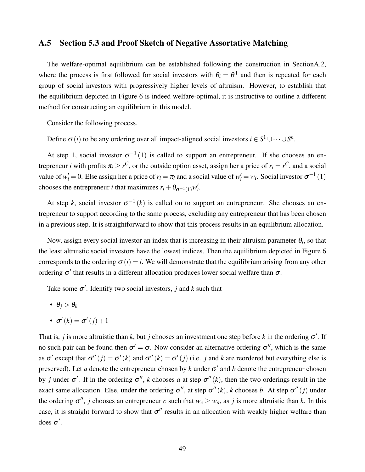## <span id="page-48-0"></span>A.5 Section [5.3](#page-24-1) and Proof Sketch of Negative Assortative Matching

The welfare-optimal equilibrium can be established following the construction in Sectio[nA.2,](#page-41-0) where the process is first followed for social investors with  $\theta_i = \theta^1$  and then is repeated for each group of social investors with progressively higher levels of altruism. However, to establish that the equilibrium depicted in Figure [6](#page-25-0) is indeed welfare-optimal, it is instructive to outline a different method for constructing an equilibrium in this model.

Consider the following process.

Define  $\sigma(i)$  to be any ordering over all impact-aligned social investors  $i \in S^1 \cup \cdots \cup S^n$ .

At step 1, social investor  $\sigma^{-1}(1)$  is called to support an entrepreneur. If she chooses an entrepreneur *i* with profits  $\pi_i \geq r^C$ , or the outside option asset, assign her a price of  $r_i = r^C$ , and a social value of  $w'_i = 0$ . Else assign her a price of  $r_i = \pi_i$  and a social value of  $w'_i = w_i$ . Social investor  $\sigma^{-1}(1)$ chooses the entrepreneur *i* that maximizes  $r_i + \theta_{\sigma^{-1}(1)} w'_i$ .

At step *k*, social investor  $\sigma^{-1}(k)$  is called on to support an entrepreneur. She chooses an entrepreneur to support according to the same process, excluding any entrepreneur that has been chosen in a previous step. It is straightforward to show that this process results in an equilibrium allocation.

Now, assign every social investor an index that is increasing in their altruism parameter  $\theta_i$ , so that the least altruistic social investors have the lowest indices. Then the equilibrium depicted in Figure [6](#page-25-0) corresponds to the ordering  $\sigma(i) = i$ . We will demonstrate that the equilibrium arising from any other ordering  $\sigma'$  that results in a different allocation produces lower social welfare than  $\sigma$ .

Take some  $\sigma'$ . Identify two social investors, *j* and *k* such that

- $\theta_i > \theta_k$
- $\sigma'(k) = \sigma'(j) + 1$

That is, *j* is more altruistic than *k*, but *j* chooses an investment one step before *k* in the ordering  $\sigma'$ . If no such pair can be found then  $\sigma' = \sigma$ . Now consider an alternative ordering  $\sigma''$ , which is the same as  $\sigma'$  except that  $\sigma''(j) = \sigma'(k)$  and  $\sigma''(k) = \sigma'(j)$  (i.e. *j* and *k* are reordered but everything else is preserved). Let *a* denote the entrepreneur chosen by *k* under  $\sigma'$  and *b* denote the entrepreneur chosen by *j* under  $\sigma'$ . If in the ordering  $\sigma''$ , *k* chooses *a* at step  $\sigma''(k)$ , then the two orderings result in the exact same allocation. Else, under the ordering  $\sigma''$ , at step  $\sigma''(k)$ , *k* chooses *b*. At step  $\sigma''(j)$  under the ordering  $\sigma''$ , *j* chooses an entrepreneur *c* such that  $w_c \geq w_a$ , as *j* is more altruistic than *k*. In this case, it is straight forward to show that  $\sigma''$  results in an allocation with weakly higher welfare than does  $\sigma'$ .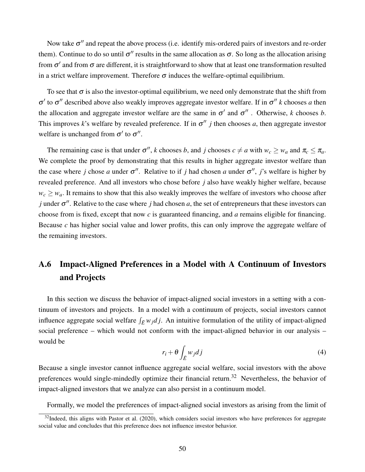Now take  $\sigma''$  and repeat the above process (i.e. identify mis-ordered pairs of investors and re-order them). Continue to do so until  $\sigma''$  results in the same allocation as  $\sigma$ . So long as the allocation arising from  $\sigma'$  and from  $\sigma$  are different, it is straightforward to show that at least one transformation resulted in a strict welfare improvement. Therefore  $\sigma$  induces the welfare-optimal equilibrium.

To see that  $\sigma$  is also the investor-optimal equilibrium, we need only demonstrate that the shift from  $σ'$  to  $σ''$  described above also weakly improves aggregate investor welfare. If in  $σ''$  k chooses *a* then the allocation and aggregate investor welfare are the same in  $\sigma'$  and  $\sigma''$ . Otherwise, *k* chooses *b*. This improves k's welfare by revealed preference. If in  $\sigma''$  *j* then chooses *a*, then aggregate investor welfare is unchanged from  $\sigma'$  to  $\sigma''$ .

The remaining case is that under  $\sigma''$ , *k* chooses *b*, and *j* chooses  $c \neq a$  with  $w_c \geq w_a$  and  $\pi_c \leq \pi_a$ . We complete the proof by demonstrating that this results in higher aggregate investor welfare than the case where *j* chose *a* under  $\sigma''$ . Relative to if *j* had chosen *a* under  $\sigma''$ , *j*'s welfare is higher by revealed preference. And all investors who chose before *j* also have weakly higher welfare, because  $w_c \geq w_a$ . It remains to show that this also weakly improves the welfare of investors who choose after *j* under  $\sigma''$ . Relative to the case where *j* had chosen *a*, the set of entrepreneurs that these investors can choose from is fixed, except that now *c* is guaranteed financing, and *a* remains eligible for financing. Because *c* has higher social value and lower profits, this can only improve the aggregate welfare of the remaining investors.

# <span id="page-49-0"></span>A.6 Impact-Aligned Preferences in a Model with A Continuum of Investors and Projects

In this section we discuss the behavior of impact-aligned social investors in a setting with a continuum of investors and projects. In a model with a continuum of projects, social investors cannot influence aggregate social welfare  $\int_{\bar{E}} w_j \, dj$ . An intuitive formulation of the utility of impact-aligned social preference – which would not conform with the impact-aligned behavior in our analysis – would be

<span id="page-49-2"></span>
$$
r_i + \theta \int_{\bar{E}} w_j dj \tag{4}
$$

Because a single investor cannot influence aggregate social welfare, social investors with the above preferences would single-mindedly optimize their financial return.<sup>[32](#page-49-1)</sup> Nevertheless, the behavior of impact-aligned investors that we analyze can also persist in a continuum model.

Formally, we model the preferences of impact-aligned social investors as arising from the limit of

<span id="page-49-1"></span> $32$ Indeed, this aligns with [Pastor et al.](#page-39-3) [\(2020\)](#page-39-3), which considers social investors who have preferences for aggregate social value and concludes that this preference does not influence investor behavior.